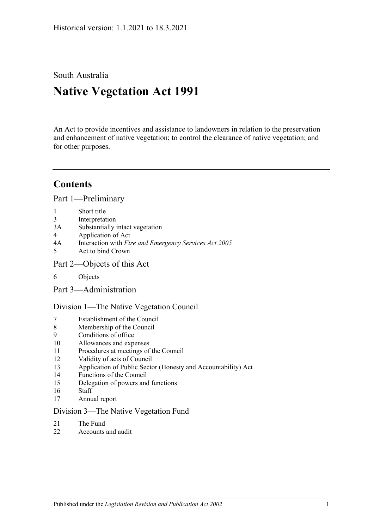South Australia

# **Native Vegetation Act 1991**

An Act to provide incentives and assistance to landowners in relation to the preservation and enhancement of native vegetation; to control the clearance of native vegetation; and for other purposes.

## **Contents**

[Part 1—Preliminary](#page-2-0)

- 1 [Short title](#page-2-1)
- 3 [Interpretation](#page-2-2)
- 3A [Substantially intact vegetation](#page-5-0)
- 4 [Application of Act](#page-5-1)
- 4A Interaction with *[Fire and Emergency Services Act](#page-7-0) 2005*
- 5 [Act to bind Crown](#page-7-1)
- [Part 2—Objects of this Act](#page-7-2)
- 6 [Objects](#page-7-3)
- [Part 3—Administration](#page-7-4)

[Division 1—The Native Vegetation Council](#page-7-5)

- 7 [Establishment of the Council](#page-7-6)
- 8 [Membership of the Council](#page-8-0)
- 9 [Conditions of office](#page-8-1)
- 10 [Allowances and expenses](#page-9-0)
- 11 [Procedures at meetings of the Council](#page-9-1)
- 12 [Validity of acts of Council](#page-9-2)
- 13 [Application of Public Sector \(Honesty and Accountability\) Act](#page-9-3)
- 14 [Functions of the Council](#page-10-0)
- 15 [Delegation of powers and functions](#page-11-0)
- 16 [Staff](#page-12-0)
- 17 [Annual report](#page-12-1)

#### [Division 3—The Native Vegetation Fund](#page-12-2)

- 21 [The Fund](#page-12-3)
- 22 [Accounts and audit](#page-14-0)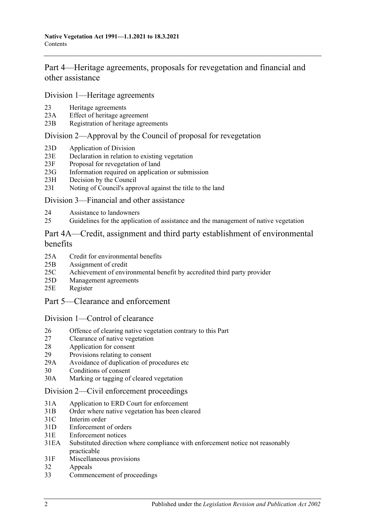[Part 4—Heritage agreements, proposals for revegetation and financial and](#page-14-1)  [other assistance](#page-14-1)

[Division 1—Heritage agreements](#page-14-2)

- 23 [Heritage agreements](#page-14-3)
- 23A [Effect of heritage agreement](#page-15-0)
- 23B [Registration of heritage agreements](#page-15-1)

### [Division 2—Approval by the Council of proposal for revegetation](#page-16-0)

- 23D [Application of Division](#page-16-1)
- 23E [Declaration in relation to existing vegetation](#page-16-2)
- 23F [Proposal for revegetation of land](#page-16-3)
- 23G [Information required on application or submission](#page-16-4)
- 23H [Decision by the Council](#page-16-5)
- 23I [Noting of Council's approval against the title to the land](#page-17-0)

#### [Division 3—Financial and other assistance](#page-17-1)

- 24 [Assistance to landowners](#page-17-2)
- 25 [Guidelines for the application of assistance and the management of native vegetation](#page-18-0)

### [Part 4A—Credit, assignment and third party establishment of environmental](#page-19-0)  [benefits](#page-19-0)

- 25A [Credit for environmental benefits](#page-19-1)
- 25B [Assignment of credit](#page-20-0)
- 25C [Achievement of environmental benefit by accredited third party provider](#page-21-0)
- 25D [Management agreements](#page-22-0)
- 25E [Register](#page-23-0)
- [Part 5—Clearance and enforcement](#page-23-1)

#### [Division 1—Control of clearance](#page-23-2)

- 26 [Offence of clearing native vegetation contrary to this Part](#page-23-3)
- 27 [Clearance of native vegetation](#page-25-0)
- 28 [Application for consent](#page-26-0)
- 29 [Provisions relating to consent](#page-28-0)
- 29A [Avoidance of duplication of procedures etc](#page-32-0)
- 30 [Conditions of consent](#page-33-0)
- 30A [Marking or tagging of cleared vegetation](#page-34-0)

#### [Division 2—Civil enforcement proceedings](#page-34-1)

- 31A [Application to ERD Court for enforcement](#page-34-2)
- 31B [Order where native vegetation has been cleared](#page-36-0)
- 31C [Interim order](#page-38-0)
- 31D [Enforcement of orders](#page-38-1)
- 31E [Enforcement notices](#page-38-2)
- 31EA [Substituted direction where compliance with enforcement](#page-39-0) notice not reasonably [practicable](#page-39-0)
- 31F [Miscellaneous provisions](#page-40-0)
- 32 [Appeals](#page-41-0)
- 33 [Commencement of proceedings](#page-41-1)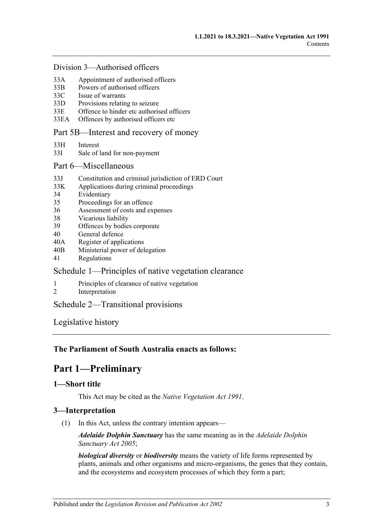#### [Division 3—Authorised officers](#page-41-2)

- 33A [Appointment of authorised officers](#page-41-3)
- 33B [Powers of authorised officers](#page-42-0)
- 33C [Issue of warrants](#page-44-0)
- 33D [Provisions relating to seizure](#page-45-0)
- 33E [Offence to hinder etc authorised officers](#page-46-0)
- 33EA [Offences by authorised officers etc](#page-47-0)

#### [Part 5B—Interest and recovery of money](#page-47-1)

- 33H [Interest](#page-47-2)
- 33I [Sale of land for non-payment](#page-47-3)

#### [Part 6—Miscellaneous](#page-49-0)

- 33J [Constitution and criminal jurisdiction of ERD Court](#page-49-1)
- 33K [Applications during criminal proceedings](#page-49-2)
- 34 [Evidentiary](#page-50-0)
- 35 [Proceedings for an offence](#page-51-0)
- 36 [Assessment of costs and expenses](#page-51-1)
- 38 [Vicarious liability](#page-51-2)
- 39 [Offences by bodies corporate](#page-51-3)
- 40 [General defence](#page-51-4)
- 40A [Register of applications](#page-51-5)
- 40B [Ministerial power of delegation](#page-52-0)
- 41 [Regulations](#page-52-1)

#### [Schedule 1—Principles of native vegetation clearance](#page-53-0)

- 1 [Principles of clearance of native vegetation](#page-53-1)
- 2 [Interpretation](#page-54-0)

#### [Schedule 2—Transitional provisions](#page-54-1)

[Legislative history](#page-56-0)

#### <span id="page-2-0"></span>**The Parliament of South Australia enacts as follows:**

## **Part 1—Preliminary**

### <span id="page-2-1"></span>**1—Short title**

This Act may be cited as the *Native Vegetation Act 1991*.

#### <span id="page-2-2"></span>**3—Interpretation**

(1) In this Act, unless the contrary intention appears—

*Adelaide Dolphin Sanctuary* has the same meaning as in the *[Adelaide Dolphin](http://www.legislation.sa.gov.au/index.aspx?action=legref&type=act&legtitle=Adelaide%20Dolphin%20Sanctuary%20Act%202005)  [Sanctuary Act](http://www.legislation.sa.gov.au/index.aspx?action=legref&type=act&legtitle=Adelaide%20Dolphin%20Sanctuary%20Act%202005) 2005*;

*biological diversity* or *biodiversity* means the variety of life forms represented by plants, animals and other organisms and micro-organisms, the genes that they contain, and the ecosystems and ecosystem processes of which they form a part;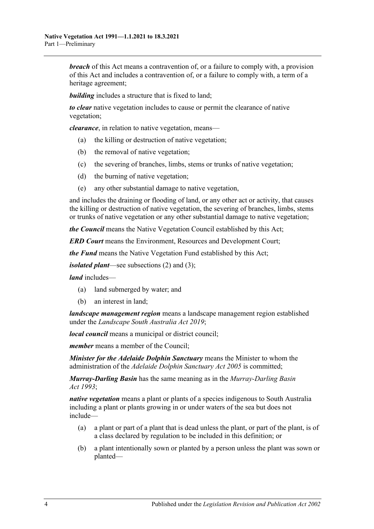*breach* of this Act means a contravention of, or a failure to comply with, a provision of this Act and includes a contravention of, or a failure to comply with, a term of a heritage agreement;

**building** includes a structure that is fixed to land;

*to clear* native vegetation includes to cause or permit the clearance of native vegetation;

*clearance*, in relation to native vegetation, means—

- (a) the killing or destruction of native vegetation;
- (b) the removal of native vegetation;
- (c) the severing of branches, limbs, stems or trunks of native vegetation;
- (d) the burning of native vegetation;
- (e) any other substantial damage to native vegetation,

and includes the draining or flooding of land, or any other act or activity, that causes the killing or destruction of native vegetation, the severing of branches, limbs, stems or trunks of native vegetation or any other substantial damage to native vegetation;

*the Council* means the Native Vegetation Council established by this Act;

*ERD Court* means the Environment, Resources and Development Court;

*the Fund* means the Native Vegetation Fund established by this Act;

*isolated plant*—see [subsections](#page-4-0) (2) and [\(3\);](#page-5-2)

*land* includes—

- (a) land submerged by water; and
- (b) an interest in land;

*landscape management region* means a landscape management region established under the *[Landscape South Australia Act](http://www.legislation.sa.gov.au/index.aspx?action=legref&type=act&legtitle=Landscape%20South%20Australia%20Act%202019) 2019*;

*local council* means a municipal or district council;

*member* means a member of the Council;

*Minister for the Adelaide Dolphin Sanctuary* means the Minister to whom the administration of the *[Adelaide Dolphin Sanctuary Act](http://www.legislation.sa.gov.au/index.aspx?action=legref&type=act&legtitle=Adelaide%20Dolphin%20Sanctuary%20Act%202005) 2005* is committed;

*Murray-Darling Basin* has the same meaning as in the *[Murray-Darling Basin](http://www.legislation.sa.gov.au/index.aspx?action=legref&type=act&legtitle=Murray-Darling%20Basin%20Act%201993)  Act [1993](http://www.legislation.sa.gov.au/index.aspx?action=legref&type=act&legtitle=Murray-Darling%20Basin%20Act%201993)*;

*native vegetation* means a plant or plants of a species indigenous to South Australia including a plant or plants growing in or under waters of the sea but does not include—

- (a) a plant or part of a plant that is dead unless the plant, or part of the plant, is of a class declared by regulation to be included in this definition; or
- (b) a plant intentionally sown or planted by a person unless the plant was sown or planted—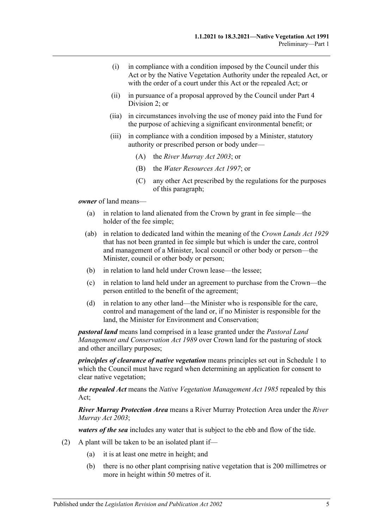- (i) in compliance with a condition imposed by the Council under this Act or by the Native Vegetation Authority under the repealed Act, or with the order of a court under this Act or the repealed Act; or
- (ii) in pursuance of a proposal approved by the Council under [Part 4](#page-16-0)  [Division 2;](#page-16-0) or
- (iia) in circumstances involving the use of money paid into the Fund for the purpose of achieving a significant environmental benefit; or
- (iii) in compliance with a condition imposed by a Minister, statutory authority or prescribed person or body under—
	- (A) the *[River Murray Act](http://www.legislation.sa.gov.au/index.aspx?action=legref&type=act&legtitle=River%20Murray%20Act%202003) 2003*; or
	- (B) the *[Water Resources Act](http://www.legislation.sa.gov.au/index.aspx?action=legref&type=act&legtitle=Water%20Resources%20Act%201997) 1997*; or
	- (C) any other Act prescribed by the regulations for the purposes of this paragraph;

*owner* of land means—

- (a) in relation to land alienated from the Crown by grant in fee simple—the holder of the fee simple;
- (ab) in relation to dedicated land within the meaning of the *[Crown Lands Act](http://www.legislation.sa.gov.au/index.aspx?action=legref&type=act&legtitle=Crown%20Lands%20Act%201929) 1929* that has not been granted in fee simple but which is under the care, control and management of a Minister, local council or other body or person—the Minister, council or other body or person;
- (b) in relation to land held under Crown lease—the lessee;
- (c) in relation to land held under an agreement to purchase from the Crown—the person entitled to the benefit of the agreement;
- (d) in relation to any other land—the Minister who is responsible for the care, control and management of the land or, if no Minister is responsible for the land, the Minister for Environment and Conservation;

*pastoral land* means land comprised in a lease granted under the *[Pastoral Land](http://www.legislation.sa.gov.au/index.aspx?action=legref&type=act&legtitle=Pastoral%20Land%20Management%20and%20Conservation%20Act%201989)  [Management and Conservation Act](http://www.legislation.sa.gov.au/index.aspx?action=legref&type=act&legtitle=Pastoral%20Land%20Management%20and%20Conservation%20Act%201989) 1989* over Crown land for the pasturing of stock and other ancillary purposes;

*principles of clearance of native vegetation* means principles set out in [Schedule 1](#page-53-0) to which the Council must have regard when determining an application for consent to clear native vegetation;

*the repealed Act* means the *[Native Vegetation Management Act](http://www.legislation.sa.gov.au/index.aspx?action=legref&type=act&legtitle=Native%20Vegetation%20Management%20Act%201985) 1985* repealed by this Act;

*River Murray Protection Area* means a River Murray Protection Area under the *[River](http://www.legislation.sa.gov.au/index.aspx?action=legref&type=act&legtitle=River%20Murray%20Act%202003)  [Murray Act](http://www.legislation.sa.gov.au/index.aspx?action=legref&type=act&legtitle=River%20Murray%20Act%202003) 2003*;

*waters of the sea* includes any water that is subject to the ebb and flow of the tide.

- <span id="page-4-0"></span>(2) A plant will be taken to be an isolated plant if—
	- (a) it is at least one metre in height; and
	- (b) there is no other plant comprising native vegetation that is 200 millimetres or more in height within 50 metres of it.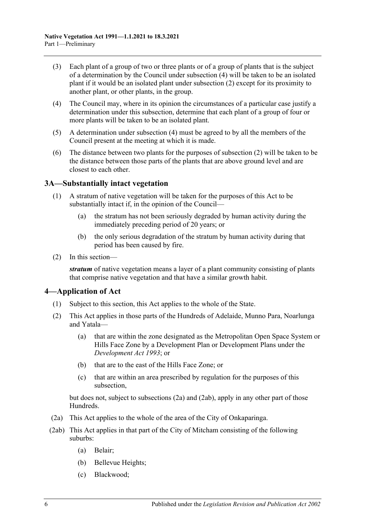- <span id="page-5-2"></span>(3) Each plant of a group of two or three plants or of a group of plants that is the subject of a determination by the Council under [subsection](#page-5-3) (4) will be taken to be an isolated plant if it would be an isolated plant under [subsection](#page-4-0) (2) except for its proximity to another plant, or other plants, in the group.
- <span id="page-5-3"></span>(4) The Council may, where in its opinion the circumstances of a particular case justify a determination under this subsection, determine that each plant of a group of four or more plants will be taken to be an isolated plant.
- (5) A determination under [subsection](#page-5-3) (4) must be agreed to by all the members of the Council present at the meeting at which it is made.
- (6) The distance between two plants for the purposes of [subsection](#page-4-0) (2) will be taken to be the distance between those parts of the plants that are above ground level and are closest to each other.

#### <span id="page-5-0"></span>**3A—Substantially intact vegetation**

- (1) A stratum of native vegetation will be taken for the purposes of this Act to be substantially intact if, in the opinion of the Council—
	- (a) the stratum has not been seriously degraded by human activity during the immediately preceding period of 20 years; or
	- (b) the only serious degradation of the stratum by human activity during that period has been caused by fire.
- (2) In this section—

*stratum* of native vegetation means a layer of a plant community consisting of plants that comprise native vegetation and that have a similar growth habit.

#### <span id="page-5-1"></span>**4—Application of Act**

- (1) Subject to this section, this Act applies to the whole of the State.
- <span id="page-5-6"></span>(2) This Act applies in those parts of the Hundreds of Adelaide, Munno Para, Noarlunga and Yatala—
	- (a) that are within the zone designated as the Metropolitan Open Space System or Hills Face Zone by a Development Plan or Development Plans under the *[Development Act](http://www.legislation.sa.gov.au/index.aspx?action=legref&type=act&legtitle=Development%20Act%201993) 1993*; or
	- (b) that are to the east of the Hills Face Zone; or
	- (c) that are within an area prescribed by regulation for the purposes of this subsection,

but does not, subject to [subsections](#page-5-4) (2a) and [\(2ab\),](#page-5-5) apply in any other part of those Hundreds.

- <span id="page-5-4"></span>(2a) This Act applies to the whole of the area of the City of Onkaparinga.
- <span id="page-5-5"></span>(2ab) This Act applies in that part of the City of Mitcham consisting of the following suburbs:
	- (a) Belair;
	- (b) Bellevue Heights;
	- (c) Blackwood;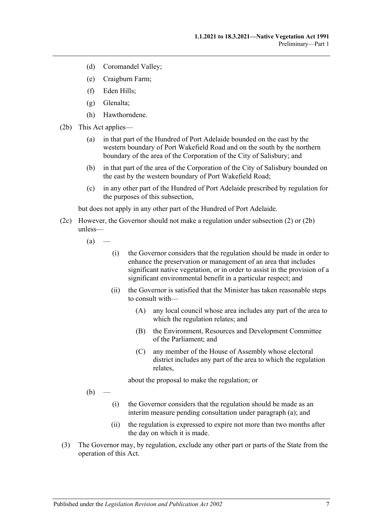- (d) Coromandel Valley;
- (e) Craigburn Farm;
- (f) Eden Hills;
- (g) Glenalta;
- (h) Hawthorndene.
- <span id="page-6-0"></span>(2b) This Act applies—
	- (a) in that part of the Hundred of Port Adelaide bounded on the east by the western boundary of Port Wakefield Road and on the south by the northern boundary of the area of the Corporation of the City of Salisbury; and
	- (b) in that part of the area of the Corporation of the City of Salisbury bounded on the east by the western boundary of Port Wakefield Road;
	- (c) in any other part of the Hundred of Port Adelaide prescribed by regulation for the purposes of this subsection,

but does not apply in any other part of the Hundred of Port Adelaide.

- <span id="page-6-1"></span>(2c) However, the Governor should not make a regulation under [subsection](#page-5-6) (2) or [\(2b\)](#page-6-0) unless—
	- $(a)$
- (i) the Governor considers that the regulation should be made in order to enhance the preservation or management of an area that includes significant native vegetation, or in order to assist in the provision of a significant environmental benefit in a particular respect; and
- (ii) the Governor is satisfied that the Minister has taken reasonable steps to consult with—
	- (A) any local council whose area includes any part of the area to which the regulation relates; and
	- (B) the Environment, Resources and Development Committee of the Parliament; and
	- (C) any member of the House of Assembly whose electoral district includes any part of the area to which the regulation relates,

about the proposal to make the regulation; or

 $(b)$ 

- (i) the Governor considers that the regulation should be made as an interim measure pending consultation under [paragraph](#page-6-1) (a); and
- (ii) the regulation is expressed to expire not more than two months after the day on which it is made.
- (3) The Governor may, by regulation, exclude any other part or parts of the State from the operation of this Act.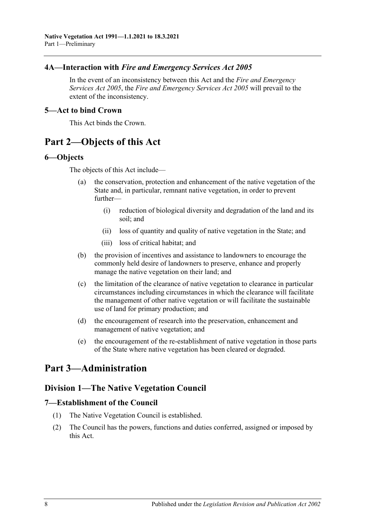### <span id="page-7-0"></span>**4A—Interaction with** *Fire and Emergency Services Act 2005*

In the event of an inconsistency between this Act and the *[Fire and Emergency](http://www.legislation.sa.gov.au/index.aspx?action=legref&type=act&legtitle=Fire%20and%20Emergency%20Services%20Act%202005)  [Services Act](http://www.legislation.sa.gov.au/index.aspx?action=legref&type=act&legtitle=Fire%20and%20Emergency%20Services%20Act%202005) 2005*, the *[Fire and Emergency Services Act](http://www.legislation.sa.gov.au/index.aspx?action=legref&type=act&legtitle=Fire%20and%20Emergency%20Services%20Act%202005) 2005* will prevail to the extent of the inconsistency.

#### <span id="page-7-1"></span>**5—Act to bind Crown**

This Act binds the Crown.

## <span id="page-7-2"></span>**Part 2—Objects of this Act**

#### <span id="page-7-3"></span>**6—Objects**

The objects of this Act include—

- (a) the conservation, protection and enhancement of the native vegetation of the State and, in particular, remnant native vegetation, in order to prevent further—
	- (i) reduction of biological diversity and degradation of the land and its soil; and
	- (ii) loss of quantity and quality of native vegetation in the State; and
	- (iii) loss of critical habitat; and
- (b) the provision of incentives and assistance to landowners to encourage the commonly held desire of landowners to preserve, enhance and properly manage the native vegetation on their land; and
- (c) the limitation of the clearance of native vegetation to clearance in particular circumstances including circumstances in which the clearance will facilitate the management of other native vegetation or will facilitate the sustainable use of land for primary production; and
- (d) the encouragement of research into the preservation, enhancement and management of native vegetation; and
- (e) the encouragement of the re-establishment of native vegetation in those parts of the State where native vegetation has been cleared or degraded.

## <span id="page-7-5"></span><span id="page-7-4"></span>**Part 3—Administration**

## **Division 1—The Native Vegetation Council**

#### <span id="page-7-6"></span>**7—Establishment of the Council**

- (1) The Native Vegetation Council is established.
- (2) The Council has the powers, functions and duties conferred, assigned or imposed by this Act.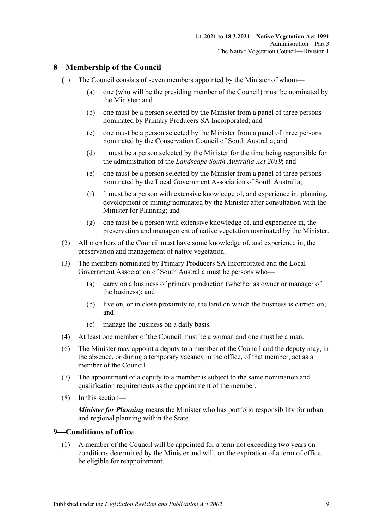## <span id="page-8-0"></span>**8—Membership of the Council**

- (1) The Council consists of seven members appointed by the Minister of whom—
	- (a) one (who will be the presiding member of the Council) must be nominated by the Minister; and
	- (b) one must be a person selected by the Minister from a panel of three persons nominated by Primary Producers SA Incorporated; and
	- (c) one must be a person selected by the Minister from a panel of three persons nominated by the Conservation Council of South Australia; and
	- (d) 1 must be a person selected by the Minister for the time being responsible for the administration of the *[Landscape South Australia Act](http://www.legislation.sa.gov.au/index.aspx?action=legref&type=act&legtitle=Landscape%20South%20Australia%20Act%202019) 2019*; and
	- (e) one must be a person selected by the Minister from a panel of three persons nominated by the Local Government Association of South Australia;
	- (f) 1 must be a person with extensive knowledge of, and experience in, planning, development or mining nominated by the Minister after consultation with the Minister for Planning; and
	- (g) one must be a person with extensive knowledge of, and experience in, the preservation and management of native vegetation nominated by the Minister.
- (2) All members of the Council must have some knowledge of, and experience in, the preservation and management of native vegetation.
- (3) The members nominated by Primary Producers SA Incorporated and the Local Government Association of South Australia must be persons who—
	- (a) carry on a business of primary production (whether as owner or manager of the business); and
	- (b) live on, or in close proximity to, the land on which the business is carried on; and
	- (c) manage the business on a daily basis.
- (4) At least one member of the Council must be a woman and one must be a man.
- (6) The Minister may appoint a deputy to a member of the Council and the deputy may, in the absence, or during a temporary vacancy in the office, of that member, act as a member of the Council.
- (7) The appointment of a deputy to a member is subject to the same nomination and qualification requirements as the appointment of the member.
- (8) In this section—

*Minister for Planning* means the Minister who has portfolio responsibility for urban and regional planning within the State.

#### <span id="page-8-1"></span>**9—Conditions of office**

(1) A member of the Council will be appointed for a term not exceeding two years on conditions determined by the Minister and will, on the expiration of a term of office, be eligible for reappointment.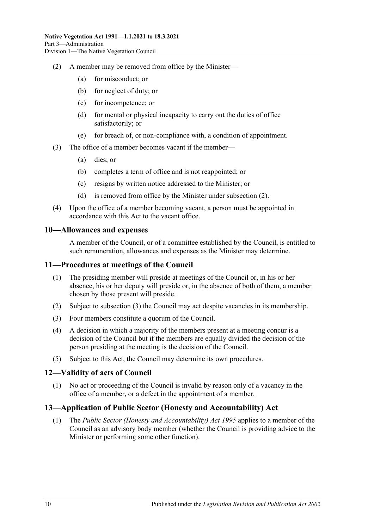- <span id="page-9-4"></span>(2) A member may be removed from office by the Minister—
	- (a) for misconduct; or
	- (b) for neglect of duty; or
	- (c) for incompetence; or
	- (d) for mental or physical incapacity to carry out the duties of office satisfactorily; or
	- (e) for breach of, or non-compliance with, a condition of appointment.
- (3) The office of a member becomes vacant if the member—
	- (a) dies; or
	- (b) completes a term of office and is not reappointed; or
	- (c) resigns by written notice addressed to the Minister; or
	- (d) is removed from office by the Minister under [subsection](#page-9-4) (2).
- (4) Upon the office of a member becoming vacant, a person must be appointed in accordance with this Act to the vacant office.

#### <span id="page-9-0"></span>**10—Allowances and expenses**

A member of the Council, or of a committee established by the Council, is entitled to such remuneration, allowances and expenses as the Minister may determine.

#### <span id="page-9-1"></span>**11—Procedures at meetings of the Council**

- (1) The presiding member will preside at meetings of the Council or, in his or her absence, his or her deputy will preside or, in the absence of both of them, a member chosen by those present will preside.
- (2) Subject to [subsection](#page-9-5) (3) the Council may act despite vacancies in its membership.
- <span id="page-9-5"></span>(3) Four members constitute a quorum of the Council.
- (4) A decision in which a majority of the members present at a meeting concur is a decision of the Council but if the members are equally divided the decision of the person presiding at the meeting is the decision of the Council.
- (5) Subject to this Act, the Council may determine its own procedures.

#### <span id="page-9-2"></span>**12—Validity of acts of Council**

(1) No act or proceeding of the Council is invalid by reason only of a vacancy in the office of a member, or a defect in the appointment of a member.

## <span id="page-9-3"></span>**13—Application of Public Sector (Honesty and Accountability) Act**

(1) The *[Public Sector \(Honesty and Accountability\) Act](http://www.legislation.sa.gov.au/index.aspx?action=legref&type=act&legtitle=Public%20Sector%20(Honesty%20and%20Accountability)%20Act%201995) 1995* applies to a member of the Council as an advisory body member (whether the Council is providing advice to the Minister or performing some other function).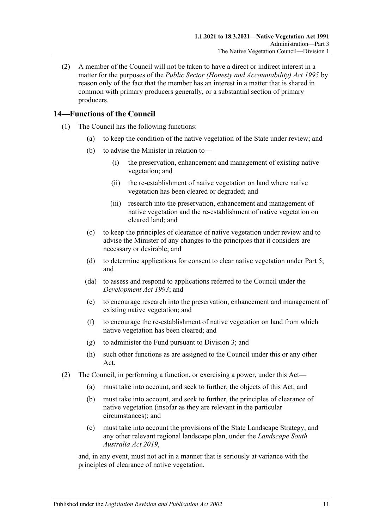(2) A member of the Council will not be taken to have a direct or indirect interest in a matter for the purposes of the *[Public Sector \(Honesty and Accountability\) Act](http://www.legislation.sa.gov.au/index.aspx?action=legref&type=act&legtitle=Public%20Sector%20(Honesty%20and%20Accountability)%20Act%201995) 1995* by reason only of the fact that the member has an interest in a matter that is shared in common with primary producers generally, or a substantial section of primary producers.

## <span id="page-10-0"></span>**14—Functions of the Council**

- (1) The Council has the following functions:
	- (a) to keep the condition of the native vegetation of the State under review; and
	- (b) to advise the Minister in relation to—
		- (i) the preservation, enhancement and management of existing native vegetation; and
		- (ii) the re-establishment of native vegetation on land where native vegetation has been cleared or degraded; and
		- (iii) research into the preservation, enhancement and management of native vegetation and the re-establishment of native vegetation on cleared land; and
	- (c) to keep the principles of clearance of native vegetation under review and to advise the Minister of any changes to the principles that it considers are necessary or desirable; and
	- (d) to determine applications for consent to clear native vegetation under [Part 5;](#page-23-1) and
	- (da) to assess and respond to applications referred to the Council under the *[Development Act](http://www.legislation.sa.gov.au/index.aspx?action=legref&type=act&legtitle=Development%20Act%201993) 1993*; and
	- (e) to encourage research into the preservation, enhancement and management of existing native vegetation; and
	- (f) to encourage the re-establishment of native vegetation on land from which native vegetation has been cleared; and
	- (g) to administer the Fund pursuant to [Division 3;](#page-12-2) and
	- (h) such other functions as are assigned to the Council under this or any other Act.
- (2) The Council, in performing a function, or exercising a power, under this Act—
	- (a) must take into account, and seek to further, the objects of this Act; and
	- (b) must take into account, and seek to further, the principles of clearance of native vegetation (insofar as they are relevant in the particular circumstances); and
	- (c) must take into account the provisions of the State Landscape Strategy, and any other relevant regional landscape plan, under the *[Landscape South](http://www.legislation.sa.gov.au/index.aspx?action=legref&type=act&legtitle=Landscape%20South%20Australia%20Act%202019)  [Australia Act](http://www.legislation.sa.gov.au/index.aspx?action=legref&type=act&legtitle=Landscape%20South%20Australia%20Act%202019) 2019*,

and, in any event, must not act in a manner that is seriously at variance with the principles of clearance of native vegetation.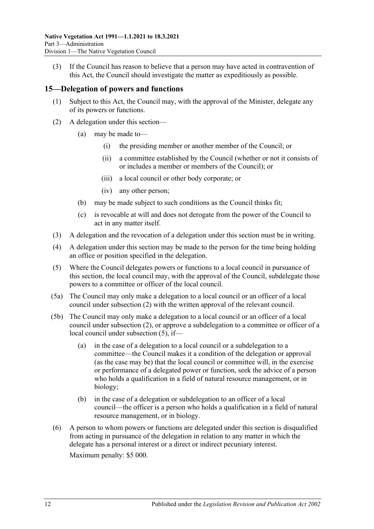(3) If the Council has reason to believe that a person may have acted in contravention of this Act, the Council should investigate the matter as expeditiously as possible.

#### <span id="page-11-0"></span>**15—Delegation of powers and functions**

- (1) Subject to this Act, the Council may, with the approval of the Minister, delegate any of its powers or functions.
- <span id="page-11-1"></span>(2) A delegation under this section—
	- (a) may be made to—
		- (i) the presiding member or another member of the Council; or
		- (ii) a committee established by the Council (whether or not it consists of or includes a member or members of the Council); or
		- (iii) a local council or other body corporate; or
		- (iv) any other person;
	- (b) may be made subject to such conditions as the Council thinks fit;
	- (c) is revocable at will and does not derogate from the power of the Council to act in any matter itself.
- (3) A delegation and the revocation of a delegation under this section must be in writing.
- (4) A delegation under this section may be made to the person for the time being holding an office or position specified in the delegation.
- <span id="page-11-2"></span>(5) Where the Council delegates powers or functions to a local council in pursuance of this section, the local council may, with the approval of the Council, subdelegate those powers to a committee or officer of the local council.
- (5a) The Council may only make a delegation to a local council or an officer of a local council under [subsection](#page-11-1) (2) with the written approval of the relevant council.
- (5b) The Council may only make a delegation to a local council or an officer of a local council under [subsection](#page-11-1) (2), or approve a subdelegation to a committee or officer of a local council under [subsection](#page-11-2) (5), if—
	- (a) in the case of a delegation to a local council or a subdelegation to a committee—the Council makes it a condition of the delegation or approval (as the case may be) that the local council or committee will, in the exercise or performance of a delegated power or function, seek the advice of a person who holds a qualification in a field of natural resource management, or in biology;
	- (b) in the case of a delegation or subdelegation to an officer of a local council—the officer is a person who holds a qualification in a field of natural resource management, or in biology.
- (6) A person to whom powers or functions are delegated under this section is disqualified from acting in pursuance of the delegation in relation to any matter in which the delegate has a personal interest or a direct or indirect pecuniary interest. Maximum penalty: \$5 000.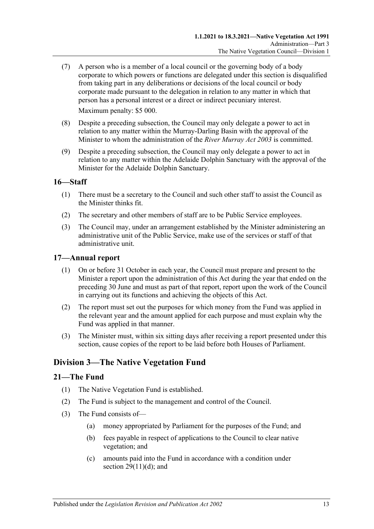(7) A person who is a member of a local council or the governing body of a body corporate to which powers or functions are delegated under this section is disqualified from taking part in any deliberations or decisions of the local council or body corporate made pursuant to the delegation in relation to any matter in which that person has a personal interest or a direct or indirect pecuniary interest.

Maximum penalty: \$5 000.

- (8) Despite a preceding subsection, the Council may only delegate a power to act in relation to any matter within the Murray-Darling Basin with the approval of the Minister to whom the administration of the *[River Murray Act](http://www.legislation.sa.gov.au/index.aspx?action=legref&type=act&legtitle=River%20Murray%20Act%202003) 2003* is committed.
- (9) Despite a preceding subsection, the Council may only delegate a power to act in relation to any matter within the Adelaide Dolphin Sanctuary with the approval of the Minister for the Adelaide Dolphin Sanctuary.

#### <span id="page-12-0"></span>**16—Staff**

- (1) There must be a secretary to the Council and such other staff to assist the Council as the Minister thinks fit.
- (2) The secretary and other members of staff are to be Public Service employees.
- (3) The Council may, under an arrangement established by the Minister administering an administrative unit of the Public Service, make use of the services or staff of that administrative unit.

#### <span id="page-12-1"></span>**17—Annual report**

- (1) On or before 31 October in each year, the Council must prepare and present to the Minister a report upon the administration of this Act during the year that ended on the preceding 30 June and must as part of that report, report upon the work of the Council in carrying out its functions and achieving the objects of this Act.
- (2) The report must set out the purposes for which money from the Fund was applied in the relevant year and the amount applied for each purpose and must explain why the Fund was applied in that manner.
- (3) The Minister must, within six sitting days after receiving a report presented under this section, cause copies of the report to be laid before both Houses of Parliament.

## <span id="page-12-2"></span>**Division 3—The Native Vegetation Fund**

#### <span id="page-12-3"></span>**21—The Fund**

- (1) The Native Vegetation Fund is established.
- (2) The Fund is subject to the management and control of the Council.
- <span id="page-12-4"></span>(3) The Fund consists of—
	- (a) money appropriated by Parliament for the purposes of the Fund; and
	- (b) fees payable in respect of applications to the Council to clear native vegetation; and
	- (c) amounts paid into the Fund in accordance with a condition under section  $29(11)(d)$ ; and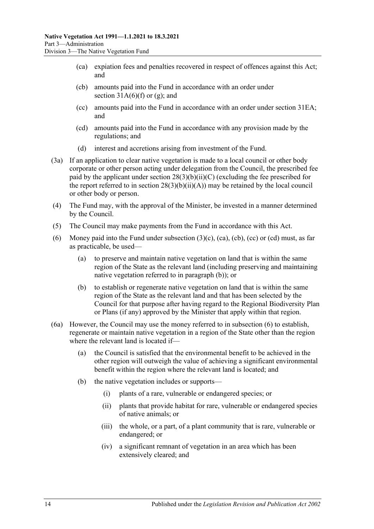- <span id="page-13-0"></span>(ca) expiation fees and penalties recovered in respect of offences against this Act; and
- <span id="page-13-1"></span>(cb) amounts paid into the Fund in accordance with an order under section  $31A(6)(f)$  or [\(g\);](#page-35-1) and
- <span id="page-13-2"></span>(cc) amounts paid into the Fund in accordance with an order under [section](#page-39-0) 31EA; and
- <span id="page-13-3"></span>(cd) amounts paid into the Fund in accordance with any provision made by the regulations; and
- (d) interest and accretions arising from investment of the Fund.
- (3a) If an application to clear native vegetation is made to a local council or other body corporate or other person acting under delegation from the Council, the prescribed fee paid by the applicant under section  $28(3)(b)(ii)(C)$  (excluding the fee prescribed for the report referred to in section  $28(3)(b)(ii)(A))$  may be retained by the local council or other body or person.
- (4) The Fund may, with the approval of the Minister, be invested in a manner determined by the Council.
- (5) The Council may make payments from the Fund in accordance with this Act.
- <span id="page-13-5"></span>(6) Money paid into the Fund under [subsection](#page-12-4)  $(3)(c)$ ,  $(ca)$ ,  $(cb)$ ,  $(cc)$  or  $(cd)$  must, as far as practicable, be used—
	- (a) to preserve and maintain native vegetation on land that is within the same region of the State as the relevant land (including preserving and maintaining native vegetation referred to in [paragraph](#page-13-4) (b)); or
	- (b) to establish or regenerate native vegetation on land that is within the same region of the State as the relevant land and that has been selected by the Council for that purpose after having regard to the Regional Biodiversity Plan or Plans (if any) approved by the Minister that apply within that region.
- <span id="page-13-6"></span><span id="page-13-4"></span>(6a) However, the Council may use the money referred to in [subsection](#page-13-5) (6) to establish, regenerate or maintain native vegetation in a region of the State other than the region where the relevant land is located if—
	- (a) the Council is satisfied that the environmental benefit to be achieved in the other region will outweigh the value of achieving a significant environmental benefit within the region where the relevant land is located; and
	- (b) the native vegetation includes or supports—
		- (i) plants of a rare, vulnerable or endangered species; or
		- (ii) plants that provide habitat for rare, vulnerable or endangered species of native animals; or
		- (iii) the whole, or a part, of a plant community that is rare, vulnerable or endangered; or
		- (iv) a significant remnant of vegetation in an area which has been extensively cleared; and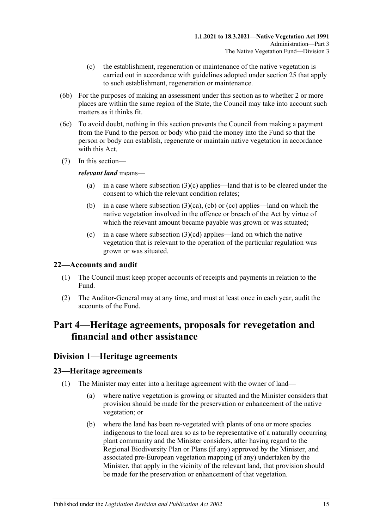- (c) the establishment, regeneration or maintenance of the native vegetation is carried out in accordance with guidelines adopted under [section](#page-18-0) 25 that apply to such establishment, regeneration or maintenance.
- (6b) For the purposes of making an assessment under this section as to whether 2 or more places are within the same region of the State, the Council may take into account such matters as it thinks fit.
- (6c) To avoid doubt, nothing in this section prevents the Council from making a payment from the Fund to the person or body who paid the money into the Fund so that the person or body can establish, regenerate or maintain native vegetation in accordance with this Act.
- (7) In this section—

#### *relevant land* means—

- (a) in a case where [subsection](#page-12-4)  $(3)(c)$  applies—land that is to be cleared under the consent to which the relevant condition relates;
- (b) in a case where [subsection](#page-13-0)  $(3)(ca)$ , [\(cb\)](#page-13-1) or [\(cc\)](#page-13-2) applies—land on which the native vegetation involved in the offence or breach of the Act by virtue of which the relevant amount became payable was grown or was situated;
- (c) in a case where [subsection](#page-13-3)  $(3)(cd)$  applies—land on which the native vegetation that is relevant to the operation of the particular regulation was grown or was situated.

### <span id="page-14-0"></span>**22—Accounts and audit**

- (1) The Council must keep proper accounts of receipts and payments in relation to the Fund.
- (2) The Auditor-General may at any time, and must at least once in each year, audit the accounts of the Fund.

## <span id="page-14-1"></span>**Part 4—Heritage agreements, proposals for revegetation and financial and other assistance**

## <span id="page-14-2"></span>**Division 1—Heritage agreements**

#### <span id="page-14-3"></span>**23—Heritage agreements**

- (1) The Minister may enter into a heritage agreement with the owner of land—
	- (a) where native vegetation is growing or situated and the Minister considers that provision should be made for the preservation or enhancement of the native vegetation; or
	- (b) where the land has been re-vegetated with plants of one or more species indigenous to the local area so as to be representative of a naturally occurring plant community and the Minister considers, after having regard to the Regional Biodiversity Plan or Plans (if any) approved by the Minister, and associated pre-European vegetation mapping (if any) undertaken by the Minister, that apply in the vicinity of the relevant land, that provision should be made for the preservation or enhancement of that vegetation.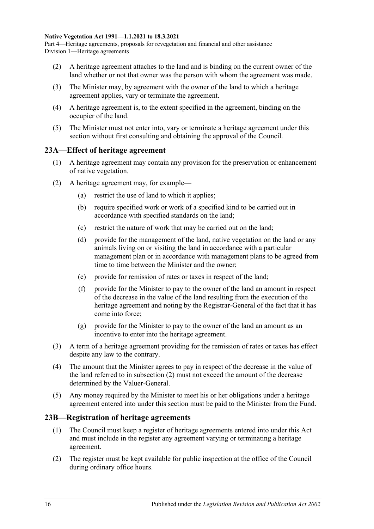Part 4—Heritage agreements, proposals for revegetation and financial and other assistance Division 1—Heritage agreements

- (2) A heritage agreement attaches to the land and is binding on the current owner of the land whether or not that owner was the person with whom the agreement was made.
- (3) The Minister may, by agreement with the owner of the land to which a heritage agreement applies, vary or terminate the agreement.
- (4) A heritage agreement is, to the extent specified in the agreement, binding on the occupier of the land.
- (5) The Minister must not enter into, vary or terminate a heritage agreement under this section without first consulting and obtaining the approval of the Council.

#### <span id="page-15-0"></span>**23A—Effect of heritage agreement**

- (1) A heritage agreement may contain any provision for the preservation or enhancement of native vegetation.
- <span id="page-15-2"></span>(2) A heritage agreement may, for example—
	- (a) restrict the use of land to which it applies;
	- (b) require specified work or work of a specified kind to be carried out in accordance with specified standards on the land;
	- (c) restrict the nature of work that may be carried out on the land;
	- (d) provide for the management of the land, native vegetation on the land or any animals living on or visiting the land in accordance with a particular management plan or in accordance with management plans to be agreed from time to time between the Minister and the owner;
	- (e) provide for remission of rates or taxes in respect of the land;
	- (f) provide for the Minister to pay to the owner of the land an amount in respect of the decrease in the value of the land resulting from the execution of the heritage agreement and noting by the Registrar-General of the fact that it has come into force;
	- (g) provide for the Minister to pay to the owner of the land an amount as an incentive to enter into the heritage agreement.
- (3) A term of a heritage agreement providing for the remission of rates or taxes has effect despite any law to the contrary.
- (4) The amount that the Minister agrees to pay in respect of the decrease in the value of the land referred to in [subsection](#page-15-2) (2) must not exceed the amount of the decrease determined by the Valuer-General.
- (5) Any money required by the Minister to meet his or her obligations under a heritage agreement entered into under this section must be paid to the Minister from the Fund.

#### <span id="page-15-1"></span>**23B—Registration of heritage agreements**

- (1) The Council must keep a register of heritage agreements entered into under this Act and must include in the register any agreement varying or terminating a heritage agreement.
- (2) The register must be kept available for public inspection at the office of the Council during ordinary office hours.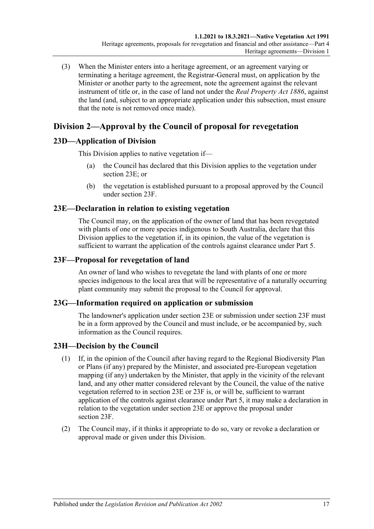(3) When the Minister enters into a heritage agreement, or an agreement varying or terminating a heritage agreement, the Registrar-General must, on application by the Minister or another party to the agreement, note the agreement against the relevant instrument of title or, in the case of land not under the *[Real Property Act](http://www.legislation.sa.gov.au/index.aspx?action=legref&type=act&legtitle=Real%20Property%20Act%201886) 1886*, against the land (and, subject to an appropriate application under this subsection, must ensure that the note is not removed once made).

## <span id="page-16-0"></span>**Division 2—Approval by the Council of proposal for revegetation**

## <span id="page-16-1"></span>**23D—Application of Division**

This Division applies to native vegetation if—

- (a) the Council has declared that this Division applies to the vegetation under [section](#page-16-2) 23E; or
- (b) the vegetation is established pursuant to a proposal approved by the Council under [section](#page-16-3) 23F.

## <span id="page-16-2"></span>**23E—Declaration in relation to existing vegetation**

The Council may, on the application of the owner of land that has been revegetated with plants of one or more species indigenous to South Australia, declare that this Division applies to the vegetation if, in its opinion, the value of the vegetation is sufficient to warrant the application of the controls against clearance under [Part 5.](#page-23-1)

### <span id="page-16-3"></span>**23F—Proposal for revegetation of land**

An owner of land who wishes to revegetate the land with plants of one or more species indigenous to the local area that will be representative of a naturally occurring plant community may submit the proposal to the Council for approval.

## <span id="page-16-4"></span>**23G—Information required on application or submission**

The landowner's application under [section](#page-16-2) 23E or submission under [section](#page-16-3) 23F must be in a form approved by the Council and must include, or be accompanied by, such information as the Council requires.

## <span id="page-16-5"></span>**23H—Decision by the Council**

- (1) If, in the opinion of the Council after having regard to the Regional Biodiversity Plan or Plans (if any) prepared by the Minister, and associated pre-European vegetation mapping (if any) undertaken by the Minister, that apply in the vicinity of the relevant land, and any other matter considered relevant by the Council, the value of the native vegetation referred to in [section](#page-16-2) 23E or [23F](#page-16-3) is, or will be, sufficient to warrant application of the controls against clearance under [Part 5,](#page-23-1) it may make a declaration in relation to the vegetation under [section](#page-16-2) 23E or approve the proposal under [section](#page-16-3) 23F.
- <span id="page-16-6"></span>(2) The Council may, if it thinks it appropriate to do so, vary or revoke a declaration or approval made or given under this Division.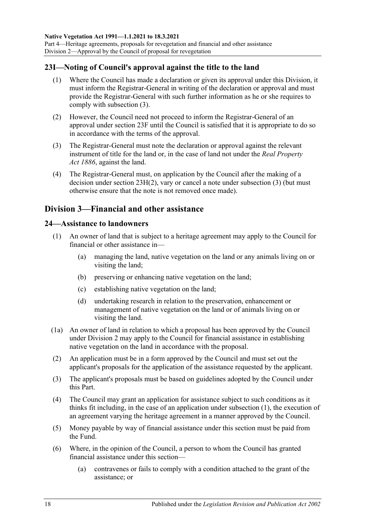Part 4—Heritage agreements, proposals for revegetation and financial and other assistance Division 2—Approval by the Council of proposal for revegetation

#### <span id="page-17-0"></span>**23I—Noting of Council's approval against the title to the land**

- (1) Where the Council has made a declaration or given its approval under this Division, it must inform the Registrar-General in writing of the declaration or approval and must provide the Registrar-General with such further information as he or she requires to comply with [subsection](#page-17-3) (3).
- (2) However, the Council need not proceed to inform the Registrar-General of an approval under [section](#page-16-3) 23F until the Council is satisfied that it is appropriate to do so in accordance with the terms of the approval.
- <span id="page-17-3"></span>(3) The Registrar-General must note the declaration or approval against the relevant instrument of title for the land or, in the case of land not under the *[Real Property](http://www.legislation.sa.gov.au/index.aspx?action=legref&type=act&legtitle=Real%20Property%20Act%201886)  Act [1886](http://www.legislation.sa.gov.au/index.aspx?action=legref&type=act&legtitle=Real%20Property%20Act%201886)*, against the land.
- (4) The Registrar-General must, on application by the Council after the making of a decision under section [23H\(2\),](#page-16-6) vary or cancel a note under [subsection](#page-17-3) (3) (but must otherwise ensure that the note is not removed once made).

## <span id="page-17-1"></span>**Division 3—Financial and other assistance**

#### <span id="page-17-4"></span><span id="page-17-2"></span>**24—Assistance to landowners**

- (1) An owner of land that is subject to a heritage agreement may apply to the Council for financial or other assistance in—
	- (a) managing the land, native vegetation on the land or any animals living on or visiting the land;
	- (b) preserving or enhancing native vegetation on the land;
	- (c) establishing native vegetation on the land;
	- (d) undertaking research in relation to the preservation, enhancement or management of native vegetation on the land or of animals living on or visiting the land.
- (1a) An owner of land in relation to which a proposal has been approved by the Council under [Division 2](#page-16-0) may apply to the Council for financial assistance in establishing native vegetation on the land in accordance with the proposal.
- (2) An application must be in a form approved by the Council and must set out the applicant's proposals for the application of the assistance requested by the applicant.
- (3) The applicant's proposals must be based on guidelines adopted by the Council under this Part.
- (4) The Council may grant an application for assistance subject to such conditions as it thinks fit including, in the case of an application under [subsection](#page-17-4) (1), the execution of an agreement varying the heritage agreement in a manner approved by the Council.
- (5) Money payable by way of financial assistance under this section must be paid from the Fund.
- <span id="page-17-5"></span>(6) Where, in the opinion of the Council, a person to whom the Council has granted financial assistance under this section—
	- (a) contravenes or fails to comply with a condition attached to the grant of the assistance; or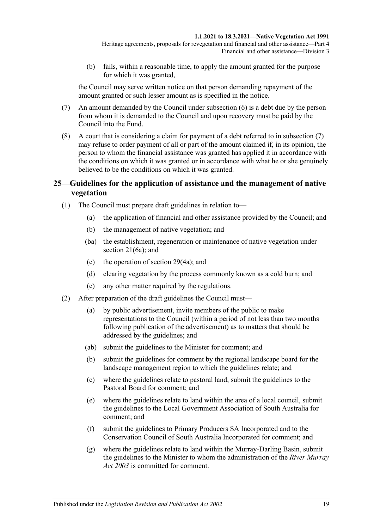(b) fails, within a reasonable time, to apply the amount granted for the purpose for which it was granted,

the Council may serve written notice on that person demanding repayment of the amount granted or such lesser amount as is specified in the notice.

- <span id="page-18-1"></span>(7) An amount demanded by the Council under [subsection](#page-17-5) (6) is a debt due by the person from whom it is demanded to the Council and upon recovery must be paid by the Council into the Fund.
- (8) A court that is considering a claim for payment of a debt referred to in [subsection](#page-18-1) (7) may refuse to order payment of all or part of the amount claimed if, in its opinion, the person to whom the financial assistance was granted has applied it in accordance with the conditions on which it was granted or in accordance with what he or she genuinely believed to be the conditions on which it was granted.

### <span id="page-18-0"></span>**25—Guidelines for the application of assistance and the management of native vegetation**

- (1) The Council must prepare draft guidelines in relation to—
	- (a) the application of financial and other assistance provided by the Council; and
	- (b) the management of native vegetation; and
	- (ba) the establishment, regeneration or maintenance of native vegetation under [section](#page-13-6) 21(6a); and
	- (c) the operation of [section](#page-29-0) 29(4a); and
	- (d) clearing vegetation by the process commonly known as a cold burn; and
	- (e) any other matter required by the regulations.
- <span id="page-18-4"></span><span id="page-18-3"></span><span id="page-18-2"></span>(2) After preparation of the draft guidelines the Council must—
	- (a) by public advertisement, invite members of the public to make representations to the Council (within a period of not less than two months following publication of the advertisement) as to matters that should be addressed by the guidelines; and
	- (ab) submit the guidelines to the Minister for comment; and
	- (b) submit the guidelines for comment by the regional landscape board for the landscape management region to which the guidelines relate; and
	- (c) where the guidelines relate to pastoral land, submit the guidelines to the Pastoral Board for comment; and
	- (e) where the guidelines relate to land within the area of a local council, submit the guidelines to the Local Government Association of South Australia for comment; and
	- (f) submit the guidelines to Primary Producers SA Incorporated and to the Conservation Council of South Australia Incorporated for comment; and
	- (g) where the guidelines relate to land within the Murray-Darling Basin, submit the guidelines to the Minister to whom the administration of the *[River Murray](http://www.legislation.sa.gov.au/index.aspx?action=legref&type=act&legtitle=River%20Murray%20Act%202003)  Act [2003](http://www.legislation.sa.gov.au/index.aspx?action=legref&type=act&legtitle=River%20Murray%20Act%202003)* is committed for comment.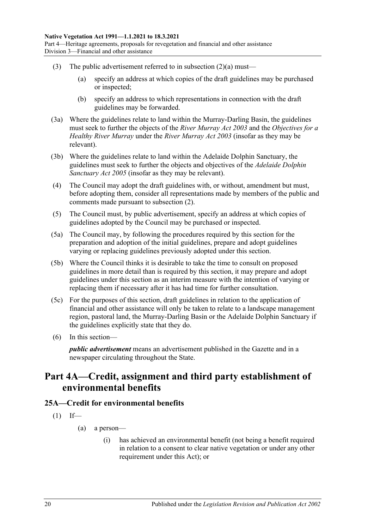- (3) The public advertisement referred to in [subsection](#page-18-2)  $(2)(a)$  must—
	- (a) specify an address at which copies of the draft guidelines may be purchased or inspected;
	- (b) specify an address to which representations in connection with the draft guidelines may be forwarded.
- (3a) Where the guidelines relate to land within the Murray-Darling Basin, the guidelines must seek to further the objects of the *[River Murray Act](http://www.legislation.sa.gov.au/index.aspx?action=legref&type=act&legtitle=River%20Murray%20Act%202003) 2003* and the *Objectives for a Healthy River Murray* under the *[River Murray Act](http://www.legislation.sa.gov.au/index.aspx?action=legref&type=act&legtitle=River%20Murray%20Act%202003) 2003* (insofar as they may be relevant).
- (3b) Where the guidelines relate to land within the Adelaide Dolphin Sanctuary, the guidelines must seek to further the objects and objectives of the *[Adelaide Dolphin](http://www.legislation.sa.gov.au/index.aspx?action=legref&type=act&legtitle=Adelaide%20Dolphin%20Sanctuary%20Act%202005)  [Sanctuary Act](http://www.legislation.sa.gov.au/index.aspx?action=legref&type=act&legtitle=Adelaide%20Dolphin%20Sanctuary%20Act%202005) 2005* (insofar as they may be relevant).
- (4) The Council may adopt the draft guidelines with, or without, amendment but must, before adopting them, consider all representations made by members of the public and comments made pursuant to [subsection](#page-18-3) (2).
- (5) The Council must, by public advertisement, specify an address at which copies of guidelines adopted by the Council may be purchased or inspected.
- (5a) The Council may, by following the procedures required by this section for the preparation and adoption of the initial guidelines, prepare and adopt guidelines varying or replacing guidelines previously adopted under this section.
- (5b) Where the Council thinks it is desirable to take the time to consult on proposed guidelines in more detail than is required by this section, it may prepare and adopt guidelines under this section as an interim measure with the intention of varying or replacing them if necessary after it has had time for further consultation.
- (5c) For the purposes of this section, draft guidelines in relation to the application of financial and other assistance will only be taken to relate to a landscape management region, pastoral land, the Murray-Darling Basin or the Adelaide Dolphin Sanctuary if the guidelines explicitly state that they do.
- (6) In this section—

*public advertisement* means an advertisement published in the Gazette and in a newspaper circulating throughout the State.

## <span id="page-19-0"></span>**Part 4A—Credit, assignment and third party establishment of environmental benefits**

## <span id="page-19-1"></span>**25A—Credit for environmental benefits**

- $(1)$  If—
	- (a) a person—
		- (i) has achieved an environmental benefit (not being a benefit required in relation to a consent to clear native vegetation or under any other requirement under this Act); or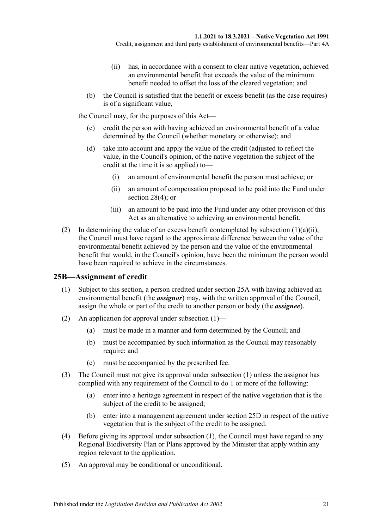- (ii) has, in accordance with a consent to clear native vegetation, achieved an environmental benefit that exceeds the value of the minimum benefit needed to offset the loss of the cleared vegetation; and
- <span id="page-20-1"></span>(b) the Council is satisfied that the benefit or excess benefit (as the case requires) is of a significant value,

the Council may, for the purposes of this Act—

- (c) credit the person with having achieved an environmental benefit of a value determined by the Council (whether monetary or otherwise); and
- <span id="page-20-3"></span>(d) take into account and apply the value of the credit (adjusted to reflect the value, in the Council's opinion, of the native vegetation the subject of the credit at the time it is so applied) to—
	- (i) an amount of environmental benefit the person must achieve; or
	- (ii) an amount of compensation proposed to be paid into the Fund under [section](#page-28-2) 28(4); or
	- (iii) an amount to be paid into the Fund under any other provision of this Act as an alternative to achieving an environmental benefit.
- (2) In determining the value of an excess benefit contemplated by [subsection](#page-20-1)  $(1)(a)(ii)$ , the Council must have regard to the approximate difference between the value of the environmental benefit achieved by the person and the value of the environmental benefit that would, in the Council's opinion, have been the minimum the person would have been required to achieve in the circumstances.

## <span id="page-20-2"></span><span id="page-20-0"></span>**25B—Assignment of credit**

- (1) Subject to this section, a person credited under [section](#page-19-1) 25A with having achieved an environmental benefit (the *assignor*) may, with the written approval of the Council, assign the whole or part of the credit to another person or body (the *assignee*).
- (2) An application for approval under [subsection](#page-20-2)  $(1)$ 
	- (a) must be made in a manner and form determined by the Council; and
	- (b) must be accompanied by such information as the Council may reasonably require; and
	- (c) must be accompanied by the prescribed fee.
- (3) The Council must not give its approval under [subsection](#page-20-2) (1) unless the assignor has complied with any requirement of the Council to do 1 or more of the following:
	- (a) enter into a heritage agreement in respect of the native vegetation that is the subject of the credit to be assigned;
	- (b) enter into a management agreement under [section](#page-22-0) 25D in respect of the native vegetation that is the subject of the credit to be assigned.
- (4) Before giving its approval under [subsection](#page-20-2) (1), the Council must have regard to any Regional Biodiversity Plan or Plans approved by the Minister that apply within any region relevant to the application.
- (5) An approval may be conditional or unconditional.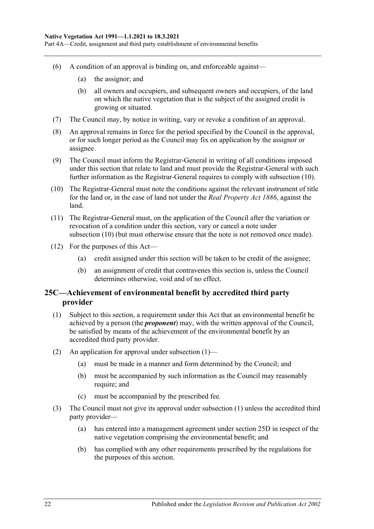Part 4A—Credit, assignment and third party establishment of environmental benefits

- (6) A condition of an approval is binding on, and enforceable against—
	- (a) the assignor; and
	- (b) all owners and occupiers, and subsequent owners and occupiers, of the land on which the native vegetation that is the subject of the assigned credit is growing or situated.
- (7) The Council may, by notice in writing, vary or revoke a condition of an approval.
- (8) An approval remains in force for the period specified by the Council in the approval, or for such longer period as the Council may fix on application by the assignor or assignee.
- (9) The Council must inform the Registrar-General in writing of all conditions imposed under this section that relate to land and must provide the Registrar-General with such further information as the Registrar-General requires to comply with [subsection](#page-21-1) (10).
- <span id="page-21-1"></span>(10) The Registrar-General must note the conditions against the relevant instrument of title for the land or, in the case of land not under the *[Real Property Act](http://www.legislation.sa.gov.au/index.aspx?action=legref&type=act&legtitle=Real%20Property%20Act%201886) 1886*, against the land.
- (11) The Registrar-General must, on the application of the Council after the variation or revocation of a condition under this section, vary or cancel a note under [subsection](#page-21-1) (10) (but must otherwise ensure that the note is not removed once made).
- (12) For the purposes of this Act—
	- (a) credit assigned under this section will be taken to be credit of the assignee;
	- (b) an assignment of credit that contravenes this section is, unless the Council determines otherwise, void and of no effect.

### <span id="page-21-0"></span>**25C—Achievement of environmental benefit by accredited third party provider**

- <span id="page-21-2"></span>(1) Subject to this section, a requirement under this Act that an environmental benefit be achieved by a person (the *proponent*) may, with the written approval of the Council, be satisfied by means of the achievement of the environmental benefit by an accredited third party provider.
- (2) An application for approval under [subsection](#page-21-2) (1)—
	- (a) must be made in a manner and form determined by the Council; and
	- (b) must be accompanied by such information as the Council may reasonably require; and
	- (c) must be accompanied by the prescribed fee.
- (3) The Council must not give its approval under [subsection](#page-21-2) (1) unless the accredited third party provider—
	- (a) has entered into a management agreement under [section](#page-22-0) 25D in respect of the native vegetation comprising the environmental benefit; and
	- (b) has complied with any other requirements prescribed by the regulations for the purposes of this section.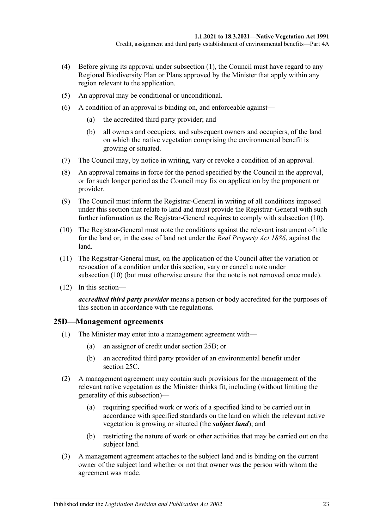- (4) Before giving its approval under [subsection](#page-21-2) (1), the Council must have regard to any Regional Biodiversity Plan or Plans approved by the Minister that apply within any region relevant to the application.
- (5) An approval may be conditional or unconditional.
- (6) A condition of an approval is binding on, and enforceable against—
	- (a) the accredited third party provider; and
	- (b) all owners and occupiers, and subsequent owners and occupiers, of the land on which the native vegetation comprising the environmental benefit is growing or situated.
- (7) The Council may, by notice in writing, vary or revoke a condition of an approval.
- (8) An approval remains in force for the period specified by the Council in the approval, or for such longer period as the Council may fix on application by the proponent or provider.
- (9) The Council must inform the Registrar-General in writing of all conditions imposed under this section that relate to land and must provide the Registrar-General with such further information as the Registrar-General requires to comply with [subsection](#page-22-1) (10).
- <span id="page-22-1"></span>(10) The Registrar-General must note the conditions against the relevant instrument of title for the land or, in the case of land not under the *[Real Property Act](http://www.legislation.sa.gov.au/index.aspx?action=legref&type=act&legtitle=Real%20Property%20Act%201886) 1886*, against the land.
- (11) The Registrar-General must, on the application of the Council after the variation or revocation of a condition under this section, vary or cancel a note under [subsection](#page-22-1) (10) (but must otherwise ensure that the note is not removed once made).
- (12) In this section—

*accredited third party provider* means a person or body accredited for the purposes of this section in accordance with the regulations.

#### <span id="page-22-0"></span>**25D—Management agreements**

- (1) The Minister may enter into a management agreement with—
	- (a) an assignor of credit under [section](#page-20-0) 25B; or
	- (b) an accredited third party provider of an environmental benefit under [section](#page-21-0) 25C.
- (2) A management agreement may contain such provisions for the management of the relevant native vegetation as the Minister thinks fit, including (without limiting the generality of this subsection)—
	- (a) requiring specified work or work of a specified kind to be carried out in accordance with specified standards on the land on which the relevant native vegetation is growing or situated (the *subject land*); and
	- (b) restricting the nature of work or other activities that may be carried out on the subject land.
- (3) A management agreement attaches to the subject land and is binding on the current owner of the subject land whether or not that owner was the person with whom the agreement was made.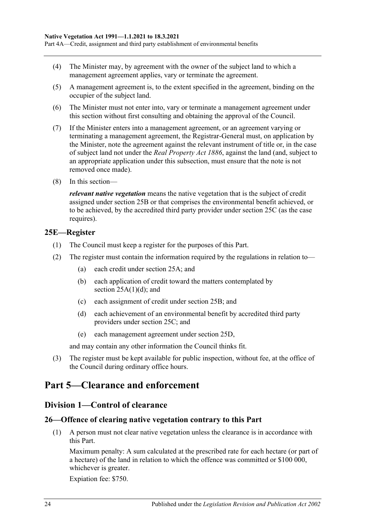- (4) The Minister may, by agreement with the owner of the subject land to which a management agreement applies, vary or terminate the agreement.
- (5) A management agreement is, to the extent specified in the agreement, binding on the occupier of the subject land.
- (6) The Minister must not enter into, vary or terminate a management agreement under this section without first consulting and obtaining the approval of the Council.
- (7) If the Minister enters into a management agreement, or an agreement varying or terminating a management agreement, the Registrar-General must, on application by the Minister, note the agreement against the relevant instrument of title or, in the case of subject land not under the *[Real Property Act](http://www.legislation.sa.gov.au/index.aspx?action=legref&type=act&legtitle=Real%20Property%20Act%201886) 1886*, against the land (and, subject to an appropriate application under this subsection, must ensure that the note is not removed once made).
- (8) In this section—

*relevant native vegetation* means the native vegetation that is the subject of credit assigned under [section](#page-20-0) 25B or that comprises the environmental benefit achieved, or to be achieved, by the accredited third party provider under [section](#page-21-0) 25C (as the case requires).

#### <span id="page-23-0"></span>**25E—Register**

- (1) The Council must keep a register for the purposes of this Part.
- (2) The register must contain the information required by the regulations in relation to—
	- (a) each credit under [section](#page-19-1) 25A; and
	- (b) each application of credit toward the matters contemplated by section  $25A(1)(d)$ ; and
	- (c) each assignment of credit under [section](#page-20-0) 25B; and
	- (d) each achievement of an environmental benefit by accredited third party providers under [section](#page-21-0) 25C; and
	- (e) each management agreement under [section](#page-22-0) 25D,

and may contain any other information the Council thinks fit.

(3) The register must be kept available for public inspection, without fee, at the office of the Council during ordinary office hours.

## <span id="page-23-2"></span><span id="page-23-1"></span>**Part 5—Clearance and enforcement**

## **Division 1—Control of clearance**

## <span id="page-23-4"></span><span id="page-23-3"></span>**26—Offence of clearing native vegetation contrary to this Part**

(1) A person must not clear native vegetation unless the clearance is in accordance with this Part.

Maximum penalty: A sum calculated at the prescribed rate for each hectare (or part of a hectare) of the land in relation to which the offence was committed or \$100 000, whichever is greater.

Expiation fee: \$750.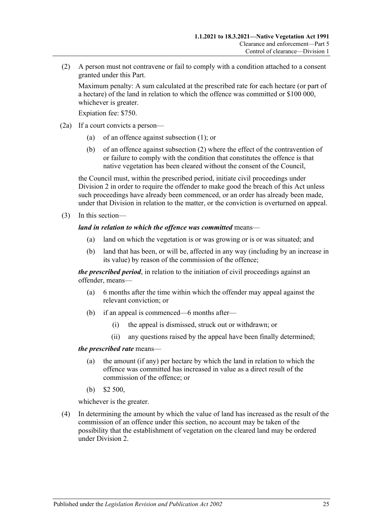<span id="page-24-0"></span>(2) A person must not contravene or fail to comply with a condition attached to a consent granted under this Part.

Maximum penalty: A sum calculated at the prescribed rate for each hectare (or part of a hectare) of the land in relation to which the offence was committed or \$100 000, whichever is greater.

Expiation fee: \$750.

- (2a) If a court convicts a person—
	- (a) of an offence against [subsection](#page-23-4) (1); or
	- (b) of an offence against [subsection](#page-24-0) (2) where the effect of the contravention of or failure to comply with the condition that constitutes the offence is that native vegetation has been cleared without the consent of the Council,

the Council must, within the prescribed period, initiate civil proceedings under [Division 2](#page-34-1) in order to require the offender to make good the breach of this Act unless such proceedings have already been commenced, or an order has already been made, under that Division in relation to the matter, or the conviction is overturned on appeal.

(3) In this section—

#### *land in relation to which the offence was committed* means—

- (a) land on which the vegetation is or was growing or is or was situated; and
- (b) land that has been, or will be, affected in any way (including by an increase in its value) by reason of the commission of the offence;

*the prescribed period*, in relation to the initiation of civil proceedings against an offender, means—

- (a) 6 months after the time within which the offender may appeal against the relevant conviction; or
- (b) if an appeal is commenced—6 months after—
	- (i) the appeal is dismissed, struck out or withdrawn; or
	- (ii) any questions raised by the appeal have been finally determined;

#### *the prescribed rate* means—

- (a) the amount (if any) per hectare by which the land in relation to which the offence was committed has increased in value as a direct result of the commission of the offence; or
- (b) \$2 500,

whichever is the greater.

(4) In determining the amount by which the value of land has increased as the result of the commission of an offence under this section, no account may be taken of the possibility that the establishment of vegetation on the cleared land may be ordered under [Division 2.](#page-34-1)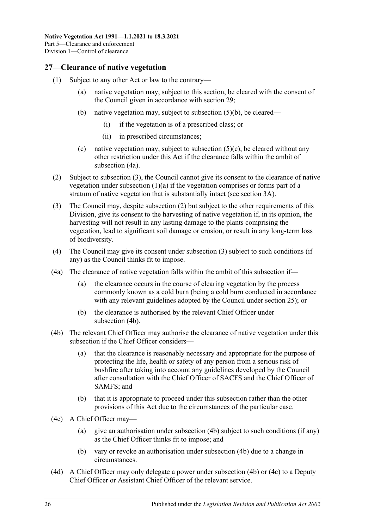### <span id="page-25-0"></span>**27—Clearance of native vegetation**

- <span id="page-25-8"></span><span id="page-25-7"></span><span id="page-25-3"></span>(1) Subject to any other Act or law to the contrary—
	- (a) native vegetation may, subject to this section, be cleared with the consent of the Council given in accordance with [section](#page-28-0) 29;
	- (b) native vegetation may, subject to [subsection](#page-26-1) (5)(b), be cleared—
		- (i) if the vegetation is of a prescribed class; or
		- (ii) in prescribed circumstances;
	- (c) native vegetation may, subject to subsection  $(5)(c)$ , be cleared without any other restriction under this Act if the clearance falls within the ambit of [subsection](#page-25-1) (4a).
- <span id="page-25-9"></span><span id="page-25-4"></span>(2) Subject to [subsection](#page-25-2) (3), the Council cannot give its consent to the clearance of native vegetation under [subsection](#page-25-3)  $(1)(a)$  if the vegetation comprises or forms part of a stratum of native vegetation that is substantially intact (see [section](#page-5-0) 3A).
- <span id="page-25-2"></span>(3) The Council may, despite [subsection](#page-25-4) (2) but subject to the other requirements of this Division, give its consent to the harvesting of native vegetation if, in its opinion, the harvesting will not result in any lasting damage to the plants comprising the vegetation, lead to significant soil damage or erosion, or result in any long-term loss of biodiversity.
- (4) The Council may give its consent under [subsection](#page-25-2) (3) subject to such conditions (if any) as the Council thinks fit to impose.
- <span id="page-25-1"></span>(4a) The clearance of native vegetation falls within the ambit of this subsection if—
	- (a) the clearance occurs in the course of clearing vegetation by the process commonly known as a cold burn (being a cold burn conducted in accordance with any relevant guidelines adopted by the Council under [section](#page-18-0) 25); or
	- (b) the clearance is authorised by the relevant Chief Officer under [subsection](#page-25-5) (4b).
- <span id="page-25-5"></span>(4b) The relevant Chief Officer may authorise the clearance of native vegetation under this subsection if the Chief Officer considers—
	- (a) that the clearance is reasonably necessary and appropriate for the purpose of protecting the life, health or safety of any person from a serious risk of bushfire after taking into account any guidelines developed by the Council after consultation with the Chief Officer of SACFS and the Chief Officer of SAMFS; and
	- (b) that it is appropriate to proceed under this subsection rather than the other provisions of this Act due to the circumstances of the particular case.
- <span id="page-25-6"></span>(4c) A Chief Officer may—
	- (a) give an authorisation under [subsection](#page-25-5) (4b) subject to such conditions (if any) as the Chief Officer thinks fit to impose; and
	- (b) vary or revoke an authorisation under [subsection](#page-25-5) (4b) due to a change in circumstances.
- (4d) A Chief Officer may only delegate a power under [subsection](#page-25-5) (4b) or [\(4c\)](#page-25-6) to a Deputy Chief Officer or Assistant Chief Officer of the relevant service.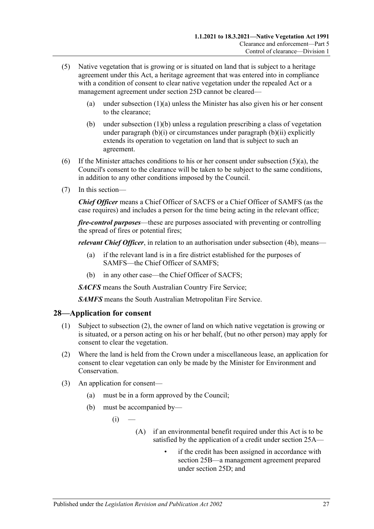- <span id="page-26-2"></span>(5) Native vegetation that is growing or is situated on land that is subject to a heritage agreement under this Act, a heritage agreement that was entered into in compliance with a condition of consent to clear native vegetation under the repealed Act or a management agreement under section 25D cannot be cleared
	- (a) under [subsection](#page-25-3)  $(1)(a)$  unless the Minister has also given his or her consent to the clearance;
	- (b) under [subsection](#page-25-7) (1)(b) unless a regulation prescribing a class of vegetation under [paragraph](#page-25-8) (b)(i) or circumstances under [paragraph](#page-25-9) (b)(ii) explicitly extends its operation to vegetation on land that is subject to such an agreement.
- <span id="page-26-1"></span>(6) If the Minister attaches conditions to his or her consent under [subsection](#page-26-2)  $(5)(a)$ , the Council's consent to the clearance will be taken to be subject to the same conditions, in addition to any other conditions imposed by the Council.
- (7) In this section—

*Chief Officer* means a Chief Officer of SACFS or a Chief Officer of SAMFS (as the case requires) and includes a person for the time being acting in the relevant office;

*fire-control purposes*—these are purposes associated with preventing or controlling the spread of fires or potential fires;

*relevant Chief Officer*, in relation to an authorisation under [subsection](#page-25-5) (4b), means—

- (a) if the relevant land is in a fire district established for the purposes of SAMFS—the Chief Officer of SAMFS;
- (b) in any other case—the Chief Officer of SACFS;

*SACFS* means the South Australian Country Fire Service;

*SAMFS* means the South Australian Metropolitan Fire Service.

#### <span id="page-26-0"></span>**28—Application for consent**

- (1) Subject to [subsection](#page-26-3) (2), the owner of land on which native vegetation is growing or is situated, or a person acting on his or her behalf, (but no other person) may apply for consent to clear the vegetation.
- <span id="page-26-3"></span>(2) Where the land is held from the Crown under a miscellaneous lease, an application for consent to clear vegetation can only be made by the Minister for Environment and Conservation.
- (3) An application for consent—
	- (a) must be in a form approved by the Council;
	- (b) must be accompanied by—
		- $(i)$ 
			- (A) if an environmental benefit required under this Act is to be satisfied by the application of a credit under [section](#page-19-1) 25A
				- if the credit has been assigned in accordance with [section](#page-20-0) 25B—a management agreement prepared under [section](#page-22-0) 25D; and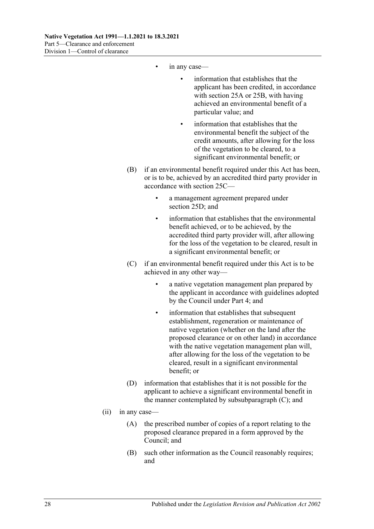- in any case
	- information that establishes that the applicant has been credited, in accordance with [section](#page-19-1) 25A or [25B,](#page-20-0) with having achieved an environmental benefit of a particular value; and
	- information that establishes that the environmental benefit the subject of the credit amounts, after allowing for the loss of the vegetation to be cleared, to a significant environmental benefit; or
- (B) if an environmental benefit required under this Act has been, or is to be, achieved by an accredited third party provider in accordance with [section](#page-21-0) 25C
	- a management agreement prepared under [section](#page-22-0) 25D; and
	- information that establishes that the environmental benefit achieved, or to be achieved, by the accredited third party provider will, after allowing for the loss of the vegetation to be cleared, result in a significant environmental benefit; or
- <span id="page-27-1"></span>(C) if an environmental benefit required under this Act is to be achieved in any other way
	- a native vegetation management plan prepared by the applicant in accordance with guidelines adopted by the Council under [Part 4;](#page-14-1) and
	- information that establishes that subsequent establishment, regeneration or maintenance of native vegetation (whether on the land after the proposed clearance or on other land) in accordance with the native vegetation management plan will, after allowing for the loss of the vegetation to be cleared, result in a significant environmental benefit; or
- (D) information that establishes that it is not possible for the applicant to achieve a significant environmental benefit in the manner contemplated by [subsubparagraph](#page-27-1) (C); and
- <span id="page-27-2"></span><span id="page-27-0"></span>(ii) in any case—
	- (A) the prescribed number of copies of a report relating to the proposed clearance prepared in a form approved by the Council; and
	- (B) such other information as the Council reasonably requires; and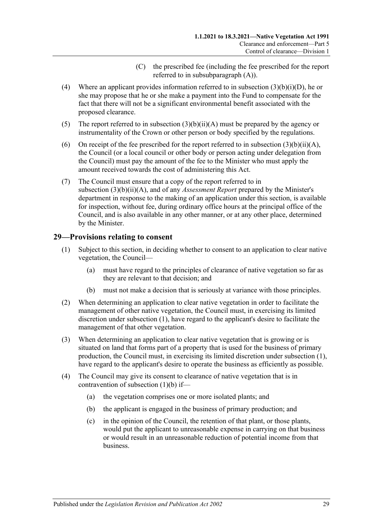- (C) the prescribed fee (including the fee prescribed for the report referred to in [subsubparagraph](#page-27-0) (A)).
- <span id="page-28-2"></span><span id="page-28-1"></span>(4) Where an applicant provides information referred to in subsection [\(3\)\(b\)\(i\)\(D\),](#page-27-2) he or she may propose that he or she make a payment into the Fund to compensate for the fact that there will not be a significant environmental benefit associated with the proposed clearance.
- <span id="page-28-5"></span>(5) The report referred to in subsection  $(3)(b)(ii)(A)$  must be prepared by the agency or instrumentality of the Crown or other person or body specified by the regulations.
- (6) On receipt of the fee prescribed for the report referred to in subsection  $(3)(b)(ii)(A)$ , the Council (or a local council or other body or person acting under delegation from the Council) must pay the amount of the fee to the Minister who must apply the amount received towards the cost of administering this Act.
- (7) The Council must ensure that a copy of the report referred to in subsection [\(3\)\(b\)\(ii\)\(A\),](#page-27-0) and of any *Assessment Report* prepared by the Minister's department in response to the making of an application under this section, is available for inspection, without fee, during ordinary office hours at the principal office of the Council, and is also available in any other manner, or at any other place, determined by the Minister.

#### <span id="page-28-3"></span><span id="page-28-0"></span>**29—Provisions relating to consent**

- (1) Subject to this section, in deciding whether to consent to an application to clear native vegetation, the Council—
	- (a) must have regard to the principles of clearance of native vegetation so far as they are relevant to that decision; and
	- (b) must not make a decision that is seriously at variance with those principles.
- <span id="page-28-4"></span>(2) When determining an application to clear native vegetation in order to facilitate the management of other native vegetation, the Council must, in exercising its limited discretion under [subsection](#page-28-3) (1), have regard to the applicant's desire to facilitate the management of that other vegetation.
- (3) When determining an application to clear native vegetation that is growing or is situated on land that forms part of a property that is used for the business of primary production, the Council must, in exercising its limited discretion under [subsection](#page-28-3) (1), have regard to the applicant's desire to operate the business as efficiently as possible.
- (4) The Council may give its consent to clearance of native vegetation that is in contravention of [subsection](#page-28-4) (1)(b) if—
	- (a) the vegetation comprises one or more isolated plants; and
	- (b) the applicant is engaged in the business of primary production; and
	- (c) in the opinion of the Council, the retention of that plant, or those plants, would put the applicant to unreasonable expense in carrying on that business or would result in an unreasonable reduction of potential income from that business.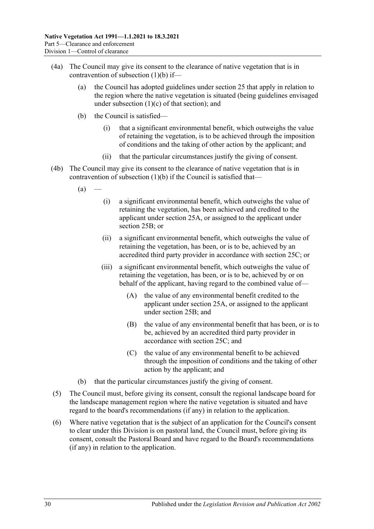- <span id="page-29-0"></span>(4a) The Council may give its consent to the clearance of native vegetation that is in contravention of [subsection](#page-28-4) (1)(b) if—
	- (a) the Council has adopted guidelines under [section](#page-18-0) 25 that apply in relation to the region where the native vegetation is situated (being guidelines envisaged under [subsection](#page-18-4)  $(1)(c)$  of that section); and
	- (b) the Council is satisfied—
		- (i) that a significant environmental benefit, which outweighs the value of retaining the vegetation, is to be achieved through the imposition of conditions and the taking of other action by the applicant; and
		- (ii) that the particular circumstances justify the giving of consent.
- <span id="page-29-4"></span><span id="page-29-3"></span><span id="page-29-2"></span>(4b) The Council may give its consent to the clearance of native vegetation that is in contravention of [subsection](#page-28-4)  $(1)(b)$  if the Council is satisfied that—
	- $(a)$ 
		- (i) a significant environmental benefit, which outweighs the value of retaining the vegetation, has been achieved and credited to the applicant under [section](#page-19-1) 25A, or assigned to the applicant under [section](#page-20-0) 25B; or
		- (ii) a significant environmental benefit, which outweighs the value of retaining the vegetation, has been, or is to be, achieved by an accredited third party provider in accordance with [section](#page-21-0) 25C; or
		- (iii) a significant environmental benefit, which outweighs the value of retaining the vegetation, has been, or is to be, achieved by or on behalf of the applicant, having regard to the combined value of—
			- (A) the value of any environmental benefit credited to the applicant under [section](#page-19-1) 25A, or assigned to the applicant under [section](#page-20-0) 25B; and
			- (B) the value of any environmental benefit that has been, or is to be, achieved by an accredited third party provider in accordance with [section](#page-21-0) 25C; and
			- (C) the value of any environmental benefit to be achieved through the imposition of conditions and the taking of other action by the applicant; and
	- (b) that the particular circumstances justify the giving of consent.
- (5) The Council must, before giving its consent, consult the regional landscape board for the landscape management region where the native vegetation is situated and have regard to the board's recommendations (if any) in relation to the application.
- <span id="page-29-1"></span>(6) Where native vegetation that is the subject of an application for the Council's consent to clear under this Division is on pastoral land, the Council must, before giving its consent, consult the Pastoral Board and have regard to the Board's recommendations (if any) in relation to the application.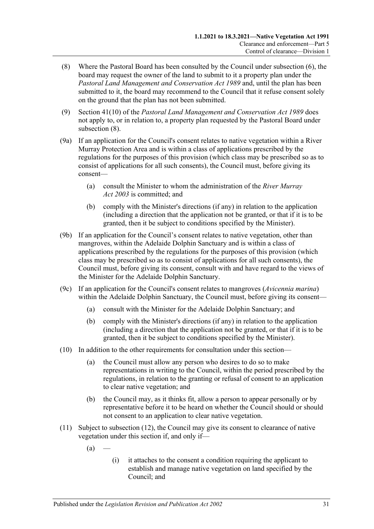- <span id="page-30-0"></span>(8) Where the Pastoral Board has been consulted by the Council under [subsection](#page-29-1) (6), the board may request the owner of the land to submit to it a property plan under the *[Pastoral Land Management and Conservation Act](http://www.legislation.sa.gov.au/index.aspx?action=legref&type=act&legtitle=Pastoral%20Land%20Management%20and%20Conservation%20Act%201989) 1989* and, until the plan has been submitted to it, the board may recommend to the Council that it refuse consent solely on the ground that the plan has not been submitted.
- (9) Section 41(10) of the *[Pastoral Land Management and Conservation Act](http://www.legislation.sa.gov.au/index.aspx?action=legref&type=act&legtitle=Pastoral%20Land%20Management%20and%20Conservation%20Act%201989) 1989* does not apply to, or in relation to, a property plan requested by the Pastoral Board under [subsection](#page-30-0)  $(8)$ .
- (9a) If an application for the Council's consent relates to native vegetation within a River Murray Protection Area and is within a class of applications prescribed by the regulations for the purposes of this provision (which class may be prescribed so as to consist of applications for all such consents), the Council must, before giving its consent—
	- (a) consult the Minister to whom the administration of the *[River Murray](http://www.legislation.sa.gov.au/index.aspx?action=legref&type=act&legtitle=River%20Murray%20Act%202003)  Act [2003](http://www.legislation.sa.gov.au/index.aspx?action=legref&type=act&legtitle=River%20Murray%20Act%202003)* is committed; and
	- (b) comply with the Minister's directions (if any) in relation to the application (including a direction that the application not be granted, or that if it is to be granted, then it be subject to conditions specified by the Minister).
- (9b) If an application for the Council's consent relates to native vegetation, other than mangroves, within the Adelaide Dolphin Sanctuary and is within a class of applications prescribed by the regulations for the purposes of this provision (which class may be prescribed so as to consist of applications for all such consents), the Council must, before giving its consent, consult with and have regard to the views of the Minister for the Adelaide Dolphin Sanctuary.
- (9c) If an application for the Council's consent relates to mangroves (*Avicennia marina*) within the Adelaide Dolphin Sanctuary, the Council must, before giving its consent—
	- (a) consult with the Minister for the Adelaide Dolphin Sanctuary; and
	- (b) comply with the Minister's directions (if any) in relation to the application (including a direction that the application not be granted, or that if it is to be granted, then it be subject to conditions specified by the Minister).
- (10) In addition to the other requirements for consultation under this section—
	- (a) the Council must allow any person who desires to do so to make representations in writing to the Council, within the period prescribed by the regulations, in relation to the granting or refusal of consent to an application to clear native vegetation; and
	- (b) the Council may, as it thinks fit, allow a person to appear personally or by representative before it to be heard on whether the Council should or should not consent to an application to clear native vegetation.
- <span id="page-30-1"></span>(11) Subject to [subsection](#page-31-1) (12), the Council may give its consent to clearance of native vegetation under this section if, and only if—
	- $(a)$
- (i) it attaches to the consent a condition requiring the applicant to establish and manage native vegetation on land specified by the Council; and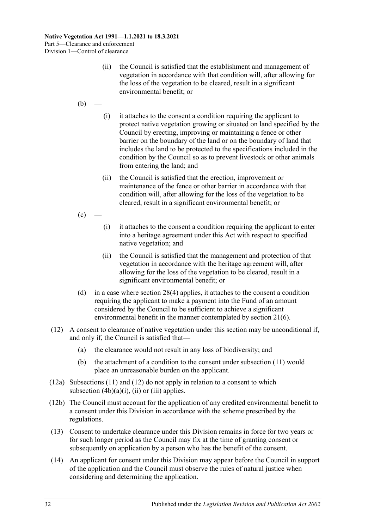- (ii) the Council is satisfied that the establishment and management of vegetation in accordance with that condition will, after allowing for the loss of the vegetation to be cleared, result in a significant environmental benefit; or
- $(b)$
- (i) it attaches to the consent a condition requiring the applicant to protect native vegetation growing or situated on land specified by the Council by erecting, improving or maintaining a fence or other barrier on the boundary of the land or on the boundary of land that includes the land to be protected to the specifications included in the condition by the Council so as to prevent livestock or other animals from entering the land; and
- (ii) the Council is satisfied that the erection, improvement or maintenance of the fence or other barrier in accordance with that condition will, after allowing for the loss of the vegetation to be cleared, result in a significant environmental benefit; or
- $(c)$ 
	- (i) it attaches to the consent a condition requiring the applicant to enter into a heritage agreement under this Act with respect to specified native vegetation; and
	- (ii) the Council is satisfied that the management and protection of that vegetation in accordance with the heritage agreement will, after allowing for the loss of the vegetation to be cleared, result in a significant environmental benefit; or
- <span id="page-31-0"></span>(d) in a case where [section](#page-28-2) 28(4) applies, it attaches to the consent a condition requiring the applicant to make a payment into the Fund of an amount considered by the Council to be sufficient to achieve a significant environmental benefit in the manner contemplated by [section](#page-13-5) 21(6).
- <span id="page-31-1"></span>(12) A consent to clearance of native vegetation under this section may be unconditional if, and only if, the Council is satisfied that—
	- (a) the clearance would not result in any loss of biodiversity; and
	- (b) the attachment of a condition to the consent under [subsection](#page-30-1) (11) would place an unreasonable burden on the applicant.
- (12a) [Subsections](#page-30-1) (11) and [\(12\)](#page-31-1) do not apply in relation to a consent to which [subsection](#page-29-2)  $(4b)(a)(i)$ ,  $(ii)$  or  $(iii)$  applies.
- (12b) The Council must account for the application of any credited environmental benefit to a consent under this Division in accordance with the scheme prescribed by the regulations.
- (13) Consent to undertake clearance under this Division remains in force for two years or for such longer period as the Council may fix at the time of granting consent or subsequently on application by a person who has the benefit of the consent.
- (14) An applicant for consent under this Division may appear before the Council in support of the application and the Council must observe the rules of natural justice when considering and determining the application.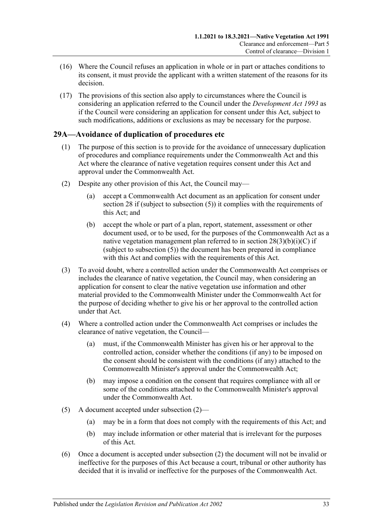- (16) Where the Council refuses an application in whole or in part or attaches conditions to its consent, it must provide the applicant with a written statement of the reasons for its decision.
- (17) The provisions of this section also apply to circumstances where the Council is considering an application referred to the Council under the *[Development Act](http://www.legislation.sa.gov.au/index.aspx?action=legref&type=act&legtitle=Development%20Act%201993) 1993* as if the Council were considering an application for consent under this Act, subject to such modifications, additions or exclusions as may be necessary for the purpose.

### <span id="page-32-0"></span>**29A—Avoidance of duplication of procedures etc**

- (1) The purpose of this section is to provide for the avoidance of unnecessary duplication of procedures and compliance requirements under the Commonwealth Act and this Act where the clearance of native vegetation requires consent under this Act and approval under the Commonwealth Act.
- <span id="page-32-1"></span>(2) Despite any other provision of this Act, the Council may—
	- (a) accept a Commonwealth Act document as an application for consent under [section](#page-26-0) 28 if (subject to [subsection](#page-28-5) (5)) it complies with the requirements of this Act; and
	- (b) accept the whole or part of a plan, report, statement, assessment or other document used, or to be used, for the purposes of the Commonwealth Act as a native vegetation management plan referred to in section  $28(3)(b)(i)(C)$  if (subject to [subsection](#page-28-5) (5)) the document has been prepared in compliance with this Act and complies with the requirements of this Act.
- (3) To avoid doubt, where a controlled action under the Commonwealth Act comprises or includes the clearance of native vegetation, the Council may, when considering an application for consent to clear the native vegetation use information and other material provided to the Commonwealth Minister under the Commonwealth Act for the purpose of deciding whether to give his or her approval to the controlled action under that Act.
- (4) Where a controlled action under the Commonwealth Act comprises or includes the clearance of native vegetation, the Council—
	- (a) must, if the Commonwealth Minister has given his or her approval to the controlled action, consider whether the conditions (if any) to be imposed on the consent should be consistent with the conditions (if any) attached to the Commonwealth Minister's approval under the Commonwealth Act;
	- (b) may impose a condition on the consent that requires compliance with all or some of the conditions attached to the Commonwealth Minister's approval under the Commonwealth Act.
- (5) A document accepted under [subsection](#page-32-1) (2)—
	- (a) may be in a form that does not comply with the requirements of this Act; and
	- (b) may include information or other material that is irrelevant for the purposes of this Act.
- (6) Once a document is accepted under [subsection](#page-32-1) (2) the document will not be invalid or ineffective for the purposes of this Act because a court, tribunal or other authority has decided that it is invalid or ineffective for the purposes of the Commonwealth Act.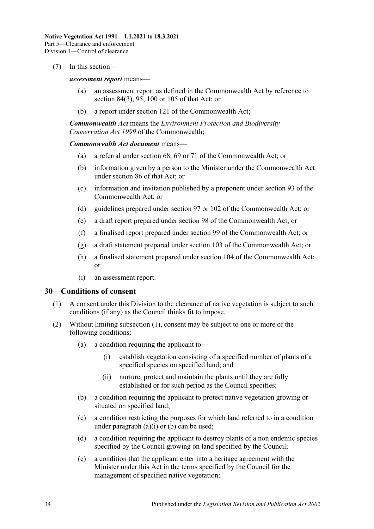#### (7) In this section—

#### *assessment report* means—

- (a) an assessment report as defined in the Commonwealth Act by reference to section 84(3), 95, 100 or 105 of that Act; or
- (b) a report under section 121 of the Commonwealth Act;

*Commonwealth Act* means the *Environment Protection and Biodiversity Conservation Act 1999* of the Commonwealth;

#### *Commonwealth Act document* means—

- (a) a referral under section 68, 69 or 71 of the Commonwealth Act; or
- (b) information given by a person to the Minister under the Commonwealth Act under section 86 of that Act; or
- (c) information and invitation published by a proponent under section 93 of the Commonwealth Act; or
- (d) guidelines prepared under section 97 or 102 of the Commonwealth Act; or
- (e) a draft report prepared under section 98 of the Commonwealth Act; or
- (f) a finalised report prepared under section 99 of the Commonwealth Act; or
- (g) a draft statement prepared under section 103 of the Commonwealth Act; or
- (h) a finalised statement prepared under section 104 of the Commonwealth Act; or
- (i) an assessment report.

#### <span id="page-33-1"></span><span id="page-33-0"></span>**30—Conditions of consent**

- (1) A consent under this Division to the clearance of native vegetation is subject to such conditions (if any) as the Council thinks fit to impose.
- <span id="page-33-5"></span><span id="page-33-4"></span><span id="page-33-3"></span><span id="page-33-2"></span>(2) Without limiting [subsection](#page-33-1) (1), consent may be subject to one or more of the following conditions:
	- (a) a condition requiring the applicant to—
		- (i) establish vegetation consisting of a specified number of plants of a specified species on specified land; and
		- (ii) nurture, protect and maintain the plants until they are fully established or for such period as the Council specifies;
	- (b) a condition requiring the applicant to protect native vegetation growing or situated on specified land;
	- (c) a condition restricting the purposes for which land referred to in a condition under [paragraph](#page-33-2)  $(a)(i)$  or  $(b)$  can be used;
	- (d) a condition requiring the applicant to destroy plants of a non endemic species specified by the Council growing on land specified by the Council;
	- (e) a condition that the applicant enter into a heritage agreement with the Minister under this Act in the terms specified by the Council for the management of specified native vegetation;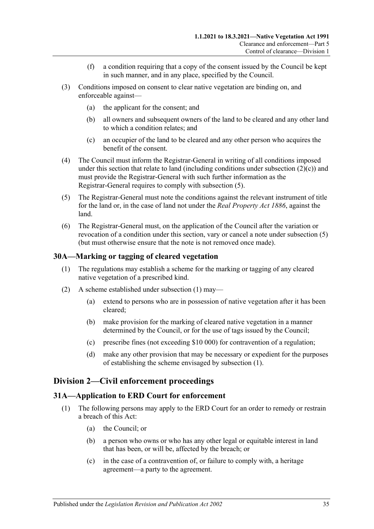- (f) a condition requiring that a copy of the consent issued by the Council be kept in such manner, and in any place, specified by the Council.
- (3) Conditions imposed on consent to clear native vegetation are binding on, and enforceable against—
	- (a) the applicant for the consent; and
	- (b) all owners and subsequent owners of the land to be cleared and any other land to which a condition relates; and
	- (c) an occupier of the land to be cleared and any other person who acquires the benefit of the consent.
- (4) The Council must inform the Registrar-General in writing of all conditions imposed under this section that relate to land (including conditions under [subsection](#page-33-4)  $(2)(c)$ ) and must provide the Registrar-General with such further information as the Registrar-General requires to comply with [subsection](#page-34-3) (5).
- <span id="page-34-3"></span>(5) The Registrar-General must note the conditions against the relevant instrument of title for the land or, in the case of land not under the *[Real Property Act](http://www.legislation.sa.gov.au/index.aspx?action=legref&type=act&legtitle=Real%20Property%20Act%201886) 1886*, against the land.
- (6) The Registrar-General must, on the application of the Council after the variation or revocation of a condition under this section, vary or cancel a note under [subsection](#page-34-3) (5) (but must otherwise ensure that the note is not removed once made).

#### <span id="page-34-4"></span><span id="page-34-0"></span>**30A—Marking or tagging of cleared vegetation**

- (1) The regulations may establish a scheme for the marking or tagging of any cleared native vegetation of a prescribed kind.
- (2) A scheme established under [subsection](#page-34-4) (1) may—
	- (a) extend to persons who are in possession of native vegetation after it has been cleared;
	- (b) make provision for the marking of cleared native vegetation in a manner determined by the Council, or for the use of tags issued by the Council;
	- (c) prescribe fines (not exceeding \$10 000) for contravention of a regulation;
	- (d) make any other provision that may be necessary or expedient for the purposes of establishing the scheme envisaged by [subsection](#page-34-4) (1).

#### <span id="page-34-1"></span>**Division 2—Civil enforcement proceedings**

#### <span id="page-34-2"></span>**31A—Application to ERD Court for enforcement**

- (1) The following persons may apply to the ERD Court for an order to remedy or restrain a breach of this Act:
	- (a) the Council; or
	- (b) a person who owns or who has any other legal or equitable interest in land that has been, or will be, affected by the breach; or
	- (c) in the case of a contravention of, or failure to comply with, a heritage agreement—a party to the agreement.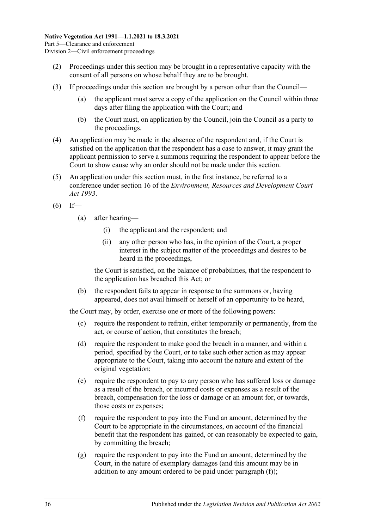- (2) Proceedings under this section may be brought in a representative capacity with the consent of all persons on whose behalf they are to be brought.
- (3) If proceedings under this section are brought by a person other than the Council—
	- (a) the applicant must serve a copy of the application on the Council within three days after filing the application with the Court; and
	- (b) the Court must, on application by the Council, join the Council as a party to the proceedings.
- (4) An application may be made in the absence of the respondent and, if the Court is satisfied on the application that the respondent has a case to answer, it may grant the applicant permission to serve a summons requiring the respondent to appear before the Court to show cause why an order should not be made under this section.
- <span id="page-35-3"></span>(5) An application under this section must, in the first instance, be referred to a conference under section 16 of the *[Environment, Resources and Development Court](http://www.legislation.sa.gov.au/index.aspx?action=legref&type=act&legtitle=Environment%20Resources%20and%20Development%20Court%20Act%201993)  Act [1993](http://www.legislation.sa.gov.au/index.aspx?action=legref&type=act&legtitle=Environment%20Resources%20and%20Development%20Court%20Act%201993)*.
- $(6)$  If—
	- (a) after hearing—
		- (i) the applicant and the respondent; and
		- (ii) any other person who has, in the opinion of the Court, a proper interest in the subject matter of the proceedings and desires to be heard in the proceedings,

the Court is satisfied, on the balance of probabilities, that the respondent to the application has breached this Act; or

(b) the respondent fails to appear in response to the summons or, having appeared, does not avail himself or herself of an opportunity to be heard,

the Court may, by order, exercise one or more of the following powers:

- (c) require the respondent to refrain, either temporarily or permanently, from the act, or course of action, that constitutes the breach;
- <span id="page-35-2"></span>(d) require the respondent to make good the breach in a manner, and within a period, specified by the Court, or to take such other action as may appear appropriate to the Court, taking into account the nature and extent of the original vegetation;
- (e) require the respondent to pay to any person who has suffered loss or damage as a result of the breach, or incurred costs or expenses as a result of the breach, compensation for the loss or damage or an amount for, or towards, those costs or expenses;
- <span id="page-35-0"></span>(f) require the respondent to pay into the Fund an amount, determined by the Court to be appropriate in the circumstances, on account of the financial benefit that the respondent has gained, or can reasonably be expected to gain, by committing the breach;
- <span id="page-35-1"></span>(g) require the respondent to pay into the Fund an amount, determined by the Court, in the nature of exemplary damages (and this amount may be in addition to any amount ordered to be paid under [paragraph](#page-35-0) (f));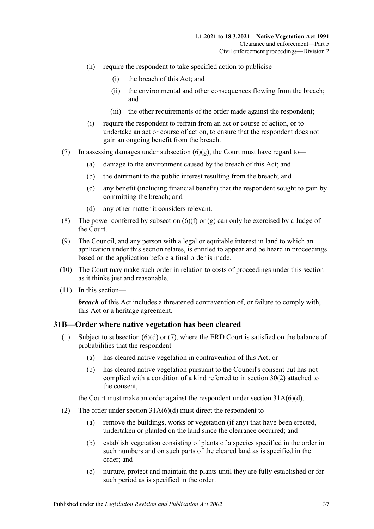- (h) require the respondent to take specified action to publicise—
	- (i) the breach of this Act; and
	- (ii) the environmental and other consequences flowing from the breach; and
	- (iii) the other requirements of the order made against the respondent;
- (i) require the respondent to refrain from an act or course of action, or to undertake an act or course of action, to ensure that the respondent does not gain an ongoing benefit from the breach.
- (7) In assessing damages under [subsection](#page-35-1)  $(6)(g)$ , the Court must have regard to-
	- (a) damage to the environment caused by the breach of this Act; and
	- (b) the detriment to the public interest resulting from the breach; and
	- (c) any benefit (including financial benefit) that the respondent sought to gain by committing the breach; and
	- (d) any other matter it considers relevant.
- (8) The power conferred by [subsection](#page-35-0)  $(6)(f)$  or  $(g)$  can only be exercised by a Judge of the Court.
- (9) The Council, and any person with a legal or equitable interest in land to which an application under this section relates, is entitled to appear and be heard in proceedings based on the application before a final order is made.
- (10) The Court may make such order in relation to costs of proceedings under this section as it thinks just and reasonable.
- (11) In this section—

*breach* of this Act includes a threatened contravention of, or failure to comply with, this Act or a heritage agreement.

#### <span id="page-36-1"></span><span id="page-36-0"></span>**31B—Order where native vegetation has been cleared**

- (1) Subject to [subsection](#page-37-0) (6)(d) or [\(7\),](#page-37-1) where the ERD Court is satisfied on the balance of probabilities that the respondent—
	- (a) has cleared native vegetation in contravention of this Act; or
	- (b) has cleared native vegetation pursuant to the Council's consent but has not complied with a condition of a kind referred to in [section](#page-33-5) 30(2) attached to the consent,

the Court must make an order against the respondent under section [31A\(6\)\(d\).](#page-35-2)

- (2) The order under section  $31A(6)(d)$  must direct the respondent to-
	- (a) remove the buildings, works or vegetation (if any) that have been erected, undertaken or planted on the land since the clearance occurred; and
	- (b) establish vegetation consisting of plants of a species specified in the order in such numbers and on such parts of the cleared land as is specified in the order; and
	- (c) nurture, protect and maintain the plants until they are fully established or for such period as is specified in the order.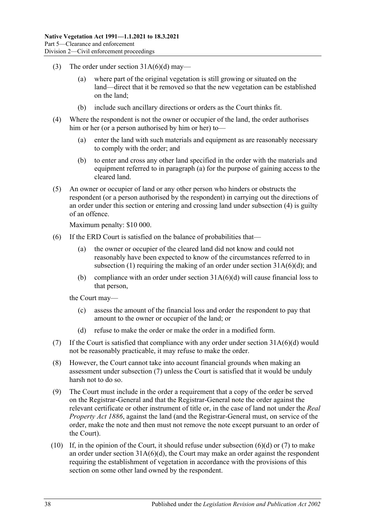- (3) The order under section  $31A(6)(d)$  may—
	- (a) where part of the original vegetation is still growing or situated on the land—direct that it be removed so that the new vegetation can be established on the land;
	- (b) include such ancillary directions or orders as the Court thinks fit.
- <span id="page-37-3"></span><span id="page-37-2"></span>(4) Where the respondent is not the owner or occupier of the land, the order authorises him or her (or a person authorised by him or her) to—
	- (a) enter the land with such materials and equipment as are reasonably necessary to comply with the order; and
	- (b) to enter and cross any other land specified in the order with the materials and equipment referred to in [paragraph](#page-37-2) (a) for the purpose of gaining access to the cleared land.
- <span id="page-37-4"></span>(5) An owner or occupier of land or any other person who hinders or obstructs the respondent (or a person authorised by the respondent) in carrying out the directions of an order under this section or entering and crossing land under [subsection](#page-37-3) (4) is guilty of an offence.

Maximum penalty: \$10 000.

- (6) If the ERD Court is satisfied on the balance of probabilities that—
	- (a) the owner or occupier of the cleared land did not know and could not reasonably have been expected to know of the circumstances referred to in [subsection](#page-36-1) (1) requiring the making of an order under section  $31A(6)(d)$ ; and
	- (b) compliance with an order under section  $31A(6)(d)$  will cause financial loss to that person,

the Court may—

- (c) assess the amount of the financial loss and order the respondent to pay that amount to the owner or occupier of the land; or
- (d) refuse to make the order or make the order in a modified form.
- <span id="page-37-1"></span><span id="page-37-0"></span>(7) If the Court is satisfied that compliance with any order under section [31A\(6\)\(d\)](#page-35-2) would not be reasonably practicable, it may refuse to make the order.
- (8) However, the Court cannot take into account financial grounds when making an assessment under [subsection](#page-37-1) (7) unless the Court is satisfied that it would be unduly harsh not to do so.
- (9) The Court must include in the order a requirement that a copy of the order be served on the Registrar-General and that the Registrar-General note the order against the relevant certificate or other instrument of title or, in the case of land not under the *[Real](http://www.legislation.sa.gov.au/index.aspx?action=legref&type=act&legtitle=Real%20Property%20Act%201886)  [Property Act](http://www.legislation.sa.gov.au/index.aspx?action=legref&type=act&legtitle=Real%20Property%20Act%201886) 1886*, against the land (and the Registrar-General must, on service of the order, make the note and then must not remove the note except pursuant to an order of the Court).
- (10) If, in the opinion of the Court, it should refuse under [subsection](#page-37-0)  $(6)(d)$  or  $(7)$  to make an order under section [31A\(6\)\(d\),](#page-35-2) the Court may make an order against the respondent requiring the establishment of vegetation in accordance with the provisions of this section on some other land owned by the respondent.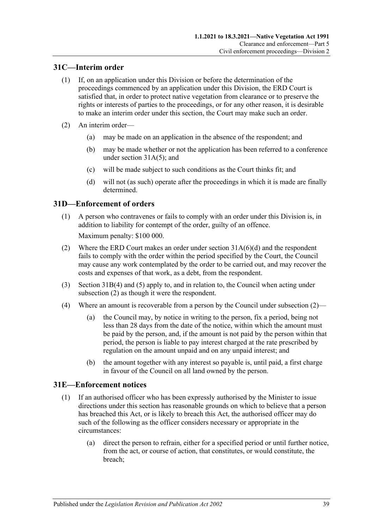## <span id="page-38-0"></span>**31C—Interim order**

- (1) If, on an application under this Division or before the determination of the proceedings commenced by an application under this Division, the ERD Court is satisfied that, in order to protect native vegetation from clearance or to preserve the rights or interests of parties to the proceedings, or for any other reason, it is desirable to make an interim order under this section, the Court may make such an order.
- (2) An interim order—
	- (a) may be made on an application in the absence of the respondent; and
	- (b) may be made whether or not the application has been referred to a conference under section [31A\(5\);](#page-35-3) and
	- (c) will be made subject to such conditions as the Court thinks fit; and
	- (d) will not (as such) operate after the proceedings in which it is made are finally determined.

#### <span id="page-38-1"></span>**31D—Enforcement of orders**

(1) A person who contravenes or fails to comply with an order under this Division is, in addition to liability for contempt of the order, guilty of an offence.

Maximum penalty: \$100 000.

- <span id="page-38-3"></span>(2) Where the ERD Court makes an order under section [31A\(6\)\(d\)](#page-35-2) and the respondent fails to comply with the order within the period specified by the Court, the Council may cause any work contemplated by the order to be carried out, and may recover the costs and expenses of that work, as a debt, from the respondent.
- (3) [Section](#page-37-3) 31B(4) and [\(5\)](#page-37-4) apply to, and in relation to, the Council when acting under [subsection](#page-38-3) (2) as though it were the respondent.
- <span id="page-38-5"></span>(4) Where an amount is recoverable from a person by the Council under [subsection](#page-38-3) (2)—
	- (a) the Council may, by notice in writing to the person, fix a period, being not less than 28 days from the date of the notice, within which the amount must be paid by the person, and, if the amount is not paid by the person within that period, the person is liable to pay interest charged at the rate prescribed by regulation on the amount unpaid and on any unpaid interest; and
	- (b) the amount together with any interest so payable is, until paid, a first charge in favour of the Council on all land owned by the person.

#### <span id="page-38-4"></span><span id="page-38-2"></span>**31E—Enforcement notices**

- (1) If an authorised officer who has been expressly authorised by the Minister to issue directions under this section has reasonable grounds on which to believe that a person has breached this Act, or is likely to breach this Act, the authorised officer may do such of the following as the officer considers necessary or appropriate in the circumstances:
	- (a) direct the person to refrain, either for a specified period or until further notice, from the act, or course of action, that constitutes, or would constitute, the breach;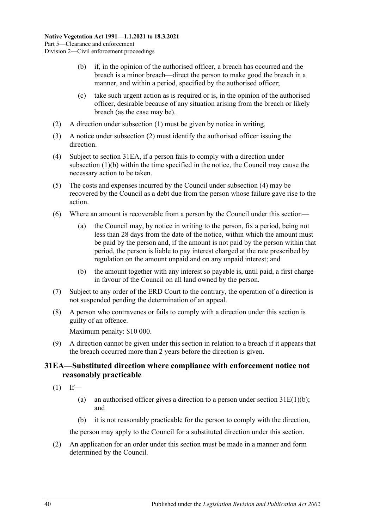- <span id="page-39-2"></span>(b) if, in the opinion of the authorised officer, a breach has occurred and the breach is a minor breach—direct the person to make good the breach in a manner, and within a period, specified by the authorised officer;
- (c) take such urgent action as is required or is, in the opinion of the authorised officer, desirable because of any situation arising from the breach or likely breach (as the case may be).
- <span id="page-39-1"></span>(2) A direction under [subsection](#page-38-4) (1) must be given by notice in writing.
- (3) A notice under [subsection](#page-39-1) (2) must identify the authorised officer issuing the direction.
- <span id="page-39-3"></span>(4) Subject to [section](#page-39-0) 31EA, if a person fails to comply with a direction under [subsection](#page-39-2) (1)(b) within the time specified in the notice, the Council may cause the necessary action to be taken.
- (5) The costs and expenses incurred by the Council under [subsection](#page-39-3) (4) may be recovered by the Council as a debt due from the person whose failure gave rise to the action.
- <span id="page-39-5"></span>(6) Where an amount is recoverable from a person by the Council under this section—
	- (a) the Council may, by notice in writing to the person, fix a period, being not less than 28 days from the date of the notice, within which the amount must be paid by the person and, if the amount is not paid by the person within that period, the person is liable to pay interest charged at the rate prescribed by regulation on the amount unpaid and on any unpaid interest; and
	- (b) the amount together with any interest so payable is, until paid, a first charge in favour of the Council on all land owned by the person.
- (7) Subject to any order of the ERD Court to the contrary, the operation of a direction is not suspended pending the determination of an appeal.
- (8) A person who contravenes or fails to comply with a direction under this section is guilty of an offence.

Maximum penalty: \$10 000.

<span id="page-39-4"></span>(9) A direction cannot be given under this section in relation to a breach if it appears that the breach occurred more than 2 years before the direction is given.

### <span id="page-39-0"></span>**31EA—Substituted direction where compliance with enforcement notice not reasonably practicable**

- $(1)$  If—
	- (a) an authorised officer gives a direction to a person under section  $31E(1)(b)$ ; and
	- (b) it is not reasonably practicable for the person to comply with the direction,

the person may apply to the Council for a substituted direction under this section.

(2) An application for an order under this section must be made in a manner and form determined by the Council.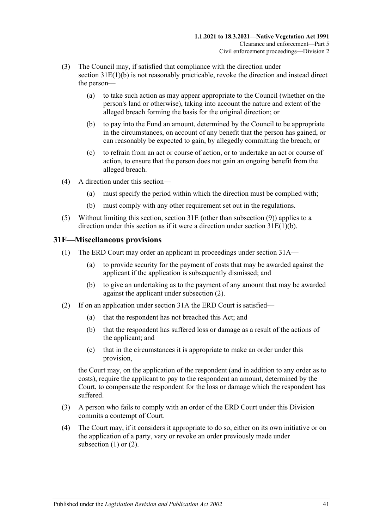- (3) The Council may, if satisfied that compliance with the direction under section [31E\(1\)\(b\)](#page-39-2) is not reasonably practicable, revoke the direction and instead direct the person—
	- (a) to take such action as may appear appropriate to the Council (whether on the person's land or otherwise), taking into account the nature and extent of the alleged breach forming the basis for the original direction; or
	- (b) to pay into the Fund an amount, determined by the Council to be appropriate in the circumstances, on account of any benefit that the person has gained, or can reasonably be expected to gain, by allegedly committing the breach; or
	- (c) to refrain from an act or course of action, or to undertake an act or course of action, to ensure that the person does not gain an ongoing benefit from the alleged breach.
- (4) A direction under this section—
	- (a) must specify the period within which the direction must be complied with;
	- (b) must comply with any other requirement set out in the regulations.
- (5) Without limiting this section, [section](#page-38-2) 31E (other than [subsection](#page-39-4) (9)) applies to a direction under this section as if it were a direction under section [31E\(1\)\(b\).](#page-39-2)

#### <span id="page-40-2"></span><span id="page-40-0"></span>**31F—Miscellaneous provisions**

- (1) The ERD Court may order an applicant in proceedings under [section](#page-34-2) 31A—
	- (a) to provide security for the payment of costs that may be awarded against the applicant if the application is subsequently dismissed; and
	- (b) to give an undertaking as to the payment of any amount that may be awarded against the applicant under [subsection](#page-40-1) (2).
- <span id="page-40-1"></span>(2) If on an application under [section](#page-34-2) 31A the ERD Court is satisfied—
	- (a) that the respondent has not breached this Act; and
	- (b) that the respondent has suffered loss or damage as a result of the actions of the applicant; and
	- (c) that in the circumstances it is appropriate to make an order under this provision,

the Court may, on the application of the respondent (and in addition to any order as to costs), require the applicant to pay to the respondent an amount, determined by the Court, to compensate the respondent for the loss or damage which the respondent has suffered.

- (3) A person who fails to comply with an order of the ERD Court under this Division commits a contempt of Court.
- (4) The Court may, if it considers it appropriate to do so, either on its own initiative or on the application of a party, vary or revoke an order previously made under [subsection](#page-40-2) (1) or [\(2\).](#page-40-1)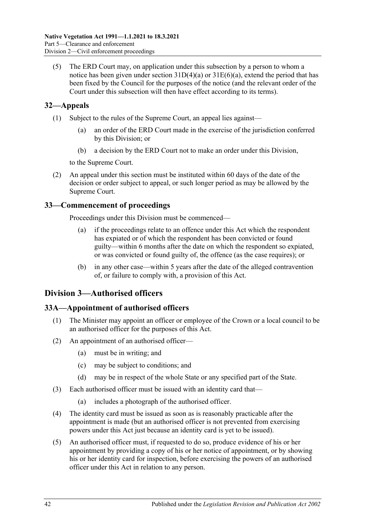(5) The ERD Court may, on application under this subsection by a person to whom a notice has been given under section  $31D(4)(a)$  or  $31E(6)(a)$ , extend the period that has been fixed by the Council for the purposes of the notice (and the relevant order of the Court under this subsection will then have effect according to its terms).

## <span id="page-41-0"></span>**32—Appeals**

- (1) Subject to the rules of the Supreme Court, an appeal lies against—
	- (a) an order of the ERD Court made in the exercise of the jurisdiction conferred by this Division; or
	- (b) a decision by the ERD Court not to make an order under this Division,

to the Supreme Court.

(2) An appeal under this section must be instituted within 60 days of the date of the decision or order subject to appeal, or such longer period as may be allowed by the Supreme Court.

## <span id="page-41-1"></span>**33—Commencement of proceedings**

Proceedings under this Division must be commenced—

- (a) if the proceedings relate to an offence under this Act which the respondent has expiated or of which the respondent has been convicted or found guilty—within 6 months after the date on which the respondent so expiated, or was convicted or found guilty of, the offence (as the case requires); or
- (b) in any other case—within 5 years after the date of the alleged contravention of, or failure to comply with, a provision of this Act.

## <span id="page-41-2"></span>**Division 3—Authorised officers**

#### <span id="page-41-3"></span>**33A—Appointment of authorised officers**

- (1) The Minister may appoint an officer or employee of the Crown or a local council to be an authorised officer for the purposes of this Act.
- (2) An appointment of an authorised officer—
	- (a) must be in writing; and
	- (c) may be subject to conditions; and
	- (d) may be in respect of the whole State or any specified part of the State.
- (3) Each authorised officer must be issued with an identity card that—
	- (a) includes a photograph of the authorised officer.
- (4) The identity card must be issued as soon as is reasonably practicable after the appointment is made (but an authorised officer is not prevented from exercising powers under this Act just because an identity card is yet to be issued).
- (5) An authorised officer must, if requested to do so, produce evidence of his or her appointment by providing a copy of his or her notice of appointment, or by showing his or her identity card for inspection, before exercising the powers of an authorised officer under this Act in relation to any person.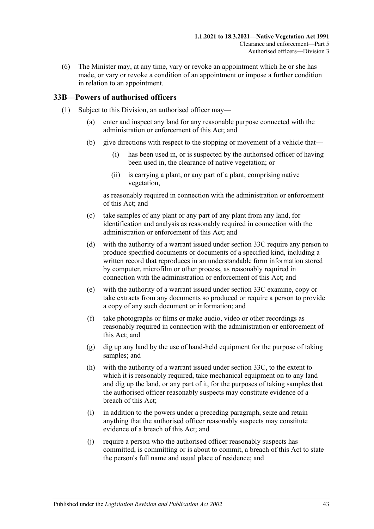(6) The Minister may, at any time, vary or revoke an appointment which he or she has made, or vary or revoke a condition of an appointment or impose a further condition in relation to an appointment.

#### <span id="page-42-2"></span><span id="page-42-0"></span>**33B—Powers of authorised officers**

- <span id="page-42-1"></span>(1) Subject to this Division, an authorised officer may—
	- (a) enter and inspect any land for any reasonable purpose connected with the administration or enforcement of this Act; and
	- (b) give directions with respect to the stopping or movement of a vehicle that—
		- (i) has been used in, or is suspected by the authorised officer of having been used in, the clearance of native vegetation; or
		- (ii) is carrying a plant, or any part of a plant, comprising native vegetation,

as reasonably required in connection with the administration or enforcement of this Act; and

- (c) take samples of any plant or any part of any plant from any land, for identification and analysis as reasonably required in connection with the administration or enforcement of this Act; and
- <span id="page-42-3"></span>(d) with the authority of a warrant issued under [section](#page-44-0) 33C require any person to produce specified documents or documents of a specified kind, including a written record that reproduces in an understandable form information stored by computer, microfilm or other process, as reasonably required in connection with the administration or enforcement of this Act; and
- <span id="page-42-4"></span>(e) with the authority of a warrant issued under [section](#page-44-0) 33C examine, copy or take extracts from any documents so produced or require a person to provide a copy of any such document or information; and
- (f) take photographs or films or make audio, video or other recordings as reasonably required in connection with the administration or enforcement of this Act; and
- (g) dig up any land by the use of hand-held equipment for the purpose of taking samples; and
- <span id="page-42-5"></span>(h) with the authority of a warrant issued under [section](#page-44-0) 33C, to the extent to which it is reasonably required, take mechanical equipment on to any land and dig up the land, or any part of it, for the purposes of taking samples that the authorised officer reasonably suspects may constitute evidence of a breach of this Act;
- (i) in addition to the powers under a preceding paragraph, seize and retain anything that the authorised officer reasonably suspects may constitute evidence of a breach of this Act; and
- (j) require a person who the authorised officer reasonably suspects has committed, is committing or is about to commit, a breach of this Act to state the person's full name and usual place of residence; and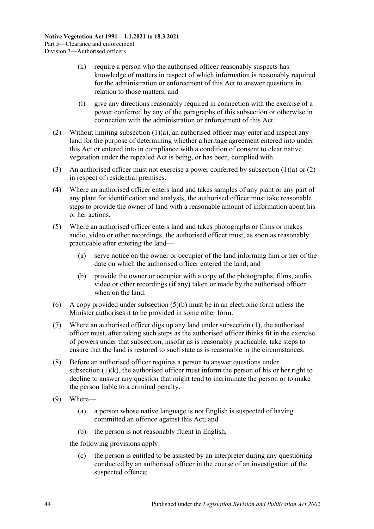- <span id="page-43-2"></span>(k) require a person who the authorised officer reasonably suspects has knowledge of matters in respect of which information is reasonably required for the administration or enforcement of this Act to answer questions in relation to those matters; and
- (l) give any directions reasonably required in connection with the exercise of a power conferred by any of the paragraphs of this subsection or otherwise in connection with the administration or enforcement of this Act.
- <span id="page-43-0"></span>(2) Without limiting [subsection](#page-42-1)  $(1)(a)$ , an authorised officer may enter and inspect any land for the purpose of determining whether a heritage agreement entered into under this Act or entered into in compliance with a condition of consent to clear native vegetation under the repealed Act is being, or has been, complied with.
- (3) An authorised officer must not exercise a power conferred by [subsection](#page-42-1)  $(1)(a)$  or  $(2)$ in respect of residential premises.
- (4) Where an authorised officer enters land and takes samples of any plant or any part of any plant for identification and analysis, the authorised officer must take reasonable steps to provide the owner of land with a reasonable amount of information about his or her actions.
- (5) Where an authorised officer enters land and takes photographs or films or makes audio, video or other recordings, the authorised officer must, as soon as reasonably practicable after entering the land—
	- (a) serve notice on the owner or occupier of the land informing him or her of the date on which the authorised officer entered the land; and
	- (b) provide the owner or occupier with a copy of the photographs, films, audio, video or other recordings (if any) taken or made by the authorised officer when on the land.
- <span id="page-43-1"></span>(6) A copy provided under [subsection](#page-43-1) (5)(b) must be in an electronic form unless the Minister authorises it to be provided in some other form.
- (7) Where an authorised officer digs up any land under [subsection](#page-42-2) (1), the authorised officer must, after taking such steps as the authorised officer thinks fit in the exercise of powers under that subsection, insofar as is reasonably practicable, take steps to ensure that the land is restored to such state as is reasonable in the circumstances.
- (8) Before an authorised officer requires a person to answer questions under [subsection](#page-43-2)  $(1)(k)$ , the authorised officer must inform the person of his or her right to decline to answer any question that might tend to incriminate the person or to make the person liable to a criminal penalty.
- (9) Where—
	- (a) a person whose native language is not English is suspected of having committed an offence against this Act; and
	- (b) the person is not reasonably fluent in English,

the following provisions apply:

(c) the person is entitled to be assisted by an interpreter during any questioning conducted by an authorised officer in the course of an investigation of the suspected offence;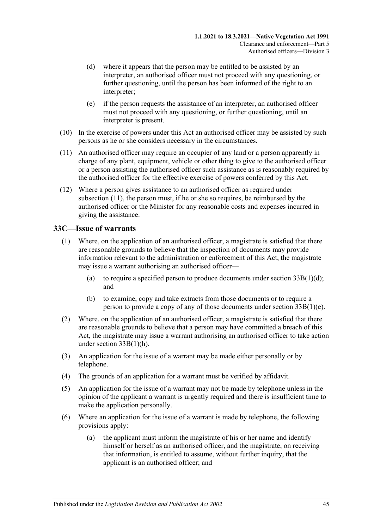- (d) where it appears that the person may be entitled to be assisted by an interpreter, an authorised officer must not proceed with any questioning, or further questioning, until the person has been informed of the right to an interpreter;
- (e) if the person requests the assistance of an interpreter, an authorised officer must not proceed with any questioning, or further questioning, until an interpreter is present.
- (10) In the exercise of powers under this Act an authorised officer may be assisted by such persons as he or she considers necessary in the circumstances.
- <span id="page-44-1"></span>(11) An authorised officer may require an occupier of any land or a person apparently in charge of any plant, equipment, vehicle or other thing to give to the authorised officer or a person assisting the authorised officer such assistance as is reasonably required by the authorised officer for the effective exercise of powers conferred by this Act.
- (12) Where a person gives assistance to an authorised officer as required under [subsection](#page-44-1) (11), the person must, if he or she so requires, be reimbursed by the authorised officer or the Minister for any reasonable costs and expenses incurred in giving the assistance.

### <span id="page-44-0"></span>**33C—Issue of warrants**

- (1) Where, on the application of an authorised officer, a magistrate is satisfied that there are reasonable grounds to believe that the inspection of documents may provide information relevant to the administration or enforcement of this Act, the magistrate may issue a warrant authorising an authorised officer—
	- (a) to require a specified person to produce documents under section  $33B(1)(d)$ ; and
	- (b) to examine, copy and take extracts from those documents or to require a person to provide a copy of any of those documents under section [33B\(1\)\(e\).](#page-42-4)
- (2) Where, on the application of an authorised officer, a magistrate is satisfied that there are reasonable grounds to believe that a person may have committed a breach of this Act, the magistrate may issue a warrant authorising an authorised officer to take action under section [33B\(1\)\(h\).](#page-42-5)
- (3) An application for the issue of a warrant may be made either personally or by telephone.
- (4) The grounds of an application for a warrant must be verified by affidavit.
- (5) An application for the issue of a warrant may not be made by telephone unless in the opinion of the applicant a warrant is urgently required and there is insufficient time to make the application personally.
- (6) Where an application for the issue of a warrant is made by telephone, the following provisions apply:
	- (a) the applicant must inform the magistrate of his or her name and identify himself or herself as an authorised officer, and the magistrate, on receiving that information, is entitled to assume, without further inquiry, that the applicant is an authorised officer; and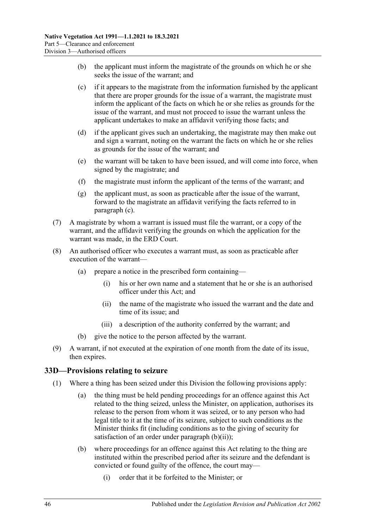- (b) the applicant must inform the magistrate of the grounds on which he or she seeks the issue of the warrant; and
- <span id="page-45-1"></span>(c) if it appears to the magistrate from the information furnished by the applicant that there are proper grounds for the issue of a warrant, the magistrate must inform the applicant of the facts on which he or she relies as grounds for the issue of the warrant, and must not proceed to issue the warrant unless the applicant undertakes to make an affidavit verifying those facts; and
- (d) if the applicant gives such an undertaking, the magistrate may then make out and sign a warrant, noting on the warrant the facts on which he or she relies as grounds for the issue of the warrant; and
- (e) the warrant will be taken to have been issued, and will come into force, when signed by the magistrate; and
- (f) the magistrate must inform the applicant of the terms of the warrant; and
- (g) the applicant must, as soon as practicable after the issue of the warrant, forward to the magistrate an affidavit verifying the facts referred to in [paragraph](#page-45-1) (c).
- (7) A magistrate by whom a warrant is issued must file the warrant, or a copy of the warrant, and the affidavit verifying the grounds on which the application for the warrant was made, in the ERD Court.
- (8) An authorised officer who executes a warrant must, as soon as practicable after execution of the warrant—
	- (a) prepare a notice in the prescribed form containing—
		- (i) his or her own name and a statement that he or she is an authorised officer under this Act; and
		- (ii) the name of the magistrate who issued the warrant and the date and time of its issue; and
		- (iii) a description of the authority conferred by the warrant; and
	- give the notice to the person affected by the warrant.
- (9) A warrant, if not executed at the expiration of one month from the date of its issue, then expires.

#### <span id="page-45-4"></span><span id="page-45-0"></span>**33D—Provisions relating to seizure**

- <span id="page-45-3"></span><span id="page-45-2"></span>(1) Where a thing has been seized under this Division the following provisions apply:
	- (a) the thing must be held pending proceedings for an offence against this Act related to the thing seized, unless the Minister, on application, authorises its release to the person from whom it was seized, or to any person who had legal title to it at the time of its seizure, subject to such conditions as the Minister thinks fit (including conditions as to the giving of security for satisfaction of an order under [paragraph](#page-46-1)  $(b)(ii)$ ;
	- (b) where proceedings for an offence against this Act relating to the thing are instituted within the prescribed period after its seizure and the defendant is convicted or found guilty of the offence, the court may—
		- (i) order that it be forfeited to the Minister; or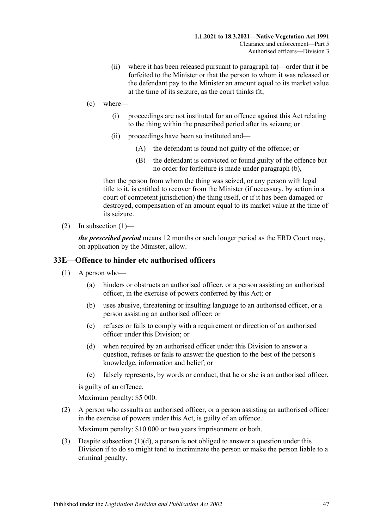- (ii) where it has been released pursuant to [paragraph](#page-45-2) (a)—order that it be forfeited to the Minister or that the person to whom it was released or the defendant pay to the Minister an amount equal to its market value at the time of its seizure, as the court thinks fit;
- <span id="page-46-1"></span>(c) where—
	- (i) proceedings are not instituted for an offence against this Act relating to the thing within the prescribed period after its seizure; or
	- (ii) proceedings have been so instituted and—
		- (A) the defendant is found not guilty of the offence; or
		- (B) the defendant is convicted or found guilty of the offence but no order for forfeiture is made under [paragraph](#page-45-3) (b),

then the person from whom the thing was seized, or any person with legal title to it, is entitled to recover from the Minister (if necessary, by action in a court of competent jurisdiction) the thing itself, or if it has been damaged or destroyed, compensation of an amount equal to its market value at the time of its seizure.

(2) In [subsection](#page-45-4)  $(1)$ —

*the prescribed period* means 12 months or such longer period as the ERD Court may, on application by the Minister, allow.

#### <span id="page-46-0"></span>**33E—Offence to hinder etc authorised officers**

- (1) A person who—
	- (a) hinders or obstructs an authorised officer, or a person assisting an authorised officer, in the exercise of powers conferred by this Act; or
	- (b) uses abusive, threatening or insulting language to an authorised officer, or a person assisting an authorised officer; or
	- (c) refuses or fails to comply with a requirement or direction of an authorised officer under this Division; or
	- (d) when required by an authorised officer under this Division to answer a question, refuses or fails to answer the question to the best of the person's knowledge, information and belief; or
	- (e) falsely represents, by words or conduct, that he or she is an authorised officer,

<span id="page-46-2"></span>is guilty of an offence.

Maximum penalty: \$5 000.

(2) A person who assaults an authorised officer, or a person assisting an authorised officer in the exercise of powers under this Act, is guilty of an offence.

Maximum penalty: \$10 000 or two years imprisonment or both.

(3) Despite [subsection](#page-46-2)  $(1)(d)$ , a person is not obliged to answer a question under this Division if to do so might tend to incriminate the person or make the person liable to a criminal penalty.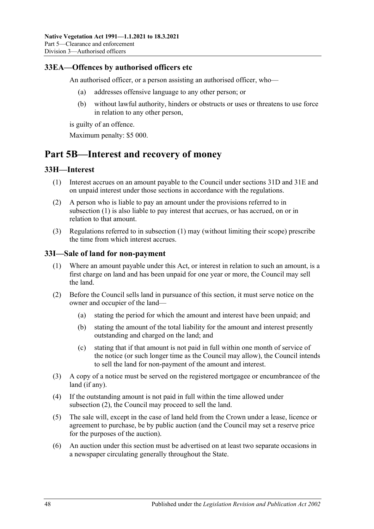### <span id="page-47-0"></span>**33EA—Offences by authorised officers etc**

An authorised officer, or a person assisting an authorised officer, who—

- (a) addresses offensive language to any other person; or
- (b) without lawful authority, hinders or obstructs or uses or threatens to use force in relation to any other person,

is guilty of an offence.

Maximum penalty: \$5 000.

## <span id="page-47-1"></span>**Part 5B—Interest and recovery of money**

#### <span id="page-47-4"></span><span id="page-47-2"></span>**33H—Interest**

- (1) Interest accrues on an amount payable to the Council under [sections](#page-38-1) 31D and [31E](#page-38-2) and on unpaid interest under those sections in accordance with the regulations.
- (2) A person who is liable to pay an amount under the provisions referred to in [subsection](#page-47-4) (1) is also liable to pay interest that accrues, or has accrued, on or in relation to that amount.
- (3) Regulations referred to in [subsection](#page-47-4) (1) may (without limiting their scope) prescribe the time from which interest accrues.

#### <span id="page-47-3"></span>**33I—Sale of land for non-payment**

- (1) Where an amount payable under this Act, or interest in relation to such an amount, is a first charge on land and has been unpaid for one year or more, the Council may sell the land.
- <span id="page-47-5"></span>(2) Before the Council sells land in pursuance of this section, it must serve notice on the owner and occupier of the land—
	- (a) stating the period for which the amount and interest have been unpaid; and
	- (b) stating the amount of the total liability for the amount and interest presently outstanding and charged on the land; and
	- (c) stating that if that amount is not paid in full within one month of service of the notice (or such longer time as the Council may allow), the Council intends to sell the land for non-payment of the amount and interest.
- (3) A copy of a notice must be served on the registered mortgagee or encumbrancee of the land (if any).
- (4) If the outstanding amount is not paid in full within the time allowed under [subsection](#page-47-5) (2), the Council may proceed to sell the land.
- (5) The sale will, except in the case of land held from the Crown under a lease, licence or agreement to purchase, be by public auction (and the Council may set a reserve price for the purposes of the auction).
- (6) An auction under this section must be advertised on at least two separate occasions in a newspaper circulating generally throughout the State.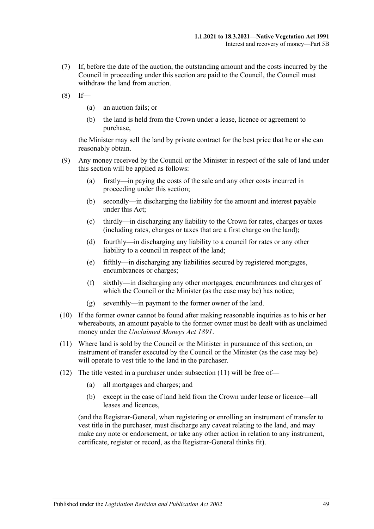- (7) If, before the date of the auction, the outstanding amount and the costs incurred by the Council in proceeding under this section are paid to the Council, the Council must withdraw the land from auction.
- $(8)$  If—
	- (a) an auction fails; or
	- (b) the land is held from the Crown under a lease, licence or agreement to purchase,

the Minister may sell the land by private contract for the best price that he or she can reasonably obtain.

- (9) Any money received by the Council or the Minister in respect of the sale of land under this section will be applied as follows:
	- (a) firstly—in paying the costs of the sale and any other costs incurred in proceeding under this section;
	- (b) secondly—in discharging the liability for the amount and interest payable under this Act;
	- (c) thirdly—in discharging any liability to the Crown for rates, charges or taxes (including rates, charges or taxes that are a first charge on the land);
	- (d) fourthly—in discharging any liability to a council for rates or any other liability to a council in respect of the land;
	- (e) fifthly—in discharging any liabilities secured by registered mortgages, encumbrances or charges;
	- (f) sixthly—in discharging any other mortgages, encumbrances and charges of which the Council or the Minister (as the case may be) has notice;
	- (g) seventhly—in payment to the former owner of the land.
- (10) If the former owner cannot be found after making reasonable inquiries as to his or her whereabouts, an amount payable to the former owner must be dealt with as unclaimed money under the *[Unclaimed Moneys Act](http://www.legislation.sa.gov.au/index.aspx?action=legref&type=act&legtitle=Unclaimed%20Moneys%20Act%201891) 1891*.
- <span id="page-48-0"></span>(11) Where land is sold by the Council or the Minister in pursuance of this section, an instrument of transfer executed by the Council or the Minister (as the case may be) will operate to vest title to the land in the purchaser.
- (12) The title vested in a purchaser under [subsection](#page-48-0) (11) will be free of—
	- (a) all mortgages and charges; and
	- (b) except in the case of land held from the Crown under lease or licence—all leases and licences,

(and the Registrar-General, when registering or enrolling an instrument of transfer to vest title in the purchaser, must discharge any caveat relating to the land, and may make any note or endorsement, or take any other action in relation to any instrument, certificate, register or record, as the Registrar-General thinks fit).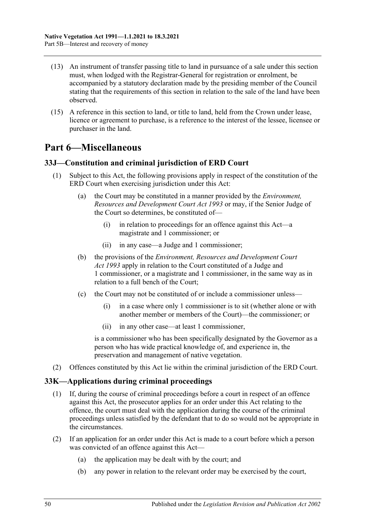- (13) An instrument of transfer passing title to land in pursuance of a sale under this section must, when lodged with the Registrar-General for registration or enrolment, be accompanied by a statutory declaration made by the presiding member of the Council stating that the requirements of this section in relation to the sale of the land have been observed.
- (15) A reference in this section to land, or title to land, held from the Crown under lease, licence or agreement to purchase, is a reference to the interest of the lessee, licensee or purchaser in the land.

## <span id="page-49-0"></span>**Part 6—Miscellaneous**

#### <span id="page-49-1"></span>**33J—Constitution and criminal jurisdiction of ERD Court**

- (1) Subject to this Act, the following provisions apply in respect of the constitution of the ERD Court when exercising jurisdiction under this Act:
	- (a) the Court may be constituted in a manner provided by the *[Environment,](http://www.legislation.sa.gov.au/index.aspx?action=legref&type=act&legtitle=Environment%20Resources%20and%20Development%20Court%20Act%201993)  [Resources and Development Court Act](http://www.legislation.sa.gov.au/index.aspx?action=legref&type=act&legtitle=Environment%20Resources%20and%20Development%20Court%20Act%201993) 1993* or may, if the Senior Judge of the Court so determines, be constituted of—
		- (i) in relation to proceedings for an offence against this Act—a magistrate and 1 commissioner; or
		- (ii) in any case—a Judge and 1 commissioner;
	- (b) the provisions of the *[Environment, Resources and Development Court](http://www.legislation.sa.gov.au/index.aspx?action=legref&type=act&legtitle=Environment%20Resources%20and%20Development%20Court%20Act%201993)  Act [1993](http://www.legislation.sa.gov.au/index.aspx?action=legref&type=act&legtitle=Environment%20Resources%20and%20Development%20Court%20Act%201993)* apply in relation to the Court constituted of a Judge and 1 commissioner, or a magistrate and 1 commissioner, in the same way as in relation to a full bench of the Court;
	- (c) the Court may not be constituted of or include a commissioner unless—
		- (i) in a case where only 1 commissioner is to sit (whether alone or with another member or members of the Court)—the commissioner; or
		- (ii) in any other case—at least 1 commissioner,

is a commissioner who has been specifically designated by the Governor as a person who has wide practical knowledge of, and experience in, the preservation and management of native vegetation.

(2) Offences constituted by this Act lie within the criminal jurisdiction of the ERD Court.

## <span id="page-49-2"></span>**33K—Applications during criminal proceedings**

- (1) If, during the course of criminal proceedings before a court in respect of an offence against this Act, the prosecutor applies for an order under this Act relating to the offence, the court must deal with the application during the course of the criminal proceedings unless satisfied by the defendant that to do so would not be appropriate in the circumstances.
- (2) If an application for an order under this Act is made to a court before which a person was convicted of an offence against this Act—
	- (a) the application may be dealt with by the court; and
	- (b) any power in relation to the relevant order may be exercised by the court,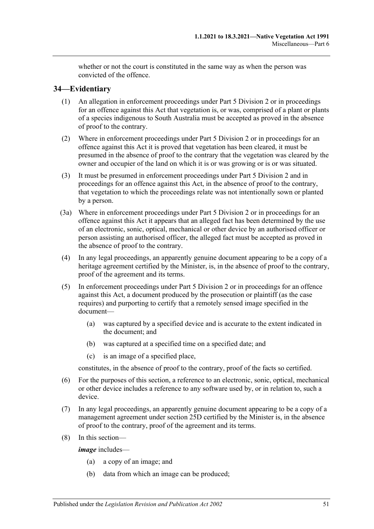whether or not the court is constituted in the same way as when the person was convicted of the offence.

### <span id="page-50-0"></span>**34—Evidentiary**

- (1) An allegation in enforcement proceedings under [Part 5 Division 2](#page-34-1) or in proceedings for an offence against this Act that vegetation is, or was, comprised of a plant or plants of a species indigenous to South Australia must be accepted as proved in the absence of proof to the contrary.
- (2) Where in enforcement proceedings under [Part 5 Division 2](#page-34-1) or in proceedings for an offence against this Act it is proved that vegetation has been cleared, it must be presumed in the absence of proof to the contrary that the vegetation was cleared by the owner and occupier of the land on which it is or was growing or is or was situated.
- (3) It must be presumed in enforcement proceedings under [Part 5 Division 2](#page-34-1) and in proceedings for an offence against this Act, in the absence of proof to the contrary, that vegetation to which the proceedings relate was not intentionally sown or planted by a person.
- (3a) Where in enforcement proceedings under [Part 5 Division 2](#page-34-1) or in proceedings for an offence against this Act it appears that an alleged fact has been determined by the use of an electronic, sonic, optical, mechanical or other device by an authorised officer or person assisting an authorised officer, the alleged fact must be accepted as proved in the absence of proof to the contrary.
- (4) In any legal proceedings, an apparently genuine document appearing to be a copy of a heritage agreement certified by the Minister, is, in the absence of proof to the contrary, proof of the agreement and its terms.
- (5) In enforcement proceedings under [Part 5 Division 2](#page-34-1) or in proceedings for an offence against this Act, a document produced by the prosecution or plaintiff (as the case requires) and purporting to certify that a remotely sensed image specified in the document—
	- (a) was captured by a specified device and is accurate to the extent indicated in the document; and
	- (b) was captured at a specified time on a specified date; and
	- (c) is an image of a specified place,

constitutes, in the absence of proof to the contrary, proof of the facts so certified.

- (6) For the purposes of this section, a reference to an electronic, sonic, optical, mechanical or other device includes a reference to any software used by, or in relation to, such a device.
- (7) In any legal proceedings, an apparently genuine document appearing to be a copy of a management agreement under section 25D certified by the Minister is, in the absence of proof to the contrary, proof of the agreement and its terms.
- (8) In this section—

*image* includes—

- (a) a copy of an image; and
- (b) data from which an image can be produced;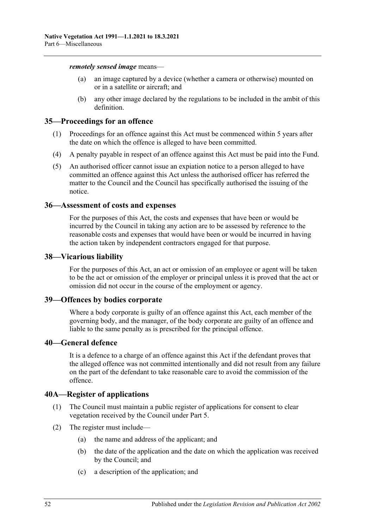*remotely sensed image* means—

- (a) an image captured by a device (whether a camera or otherwise) mounted on or in a satellite or aircraft; and
- (b) any other image declared by the regulations to be included in the ambit of this definition.

#### <span id="page-51-0"></span>**35—Proceedings for an offence**

- (1) Proceedings for an offence against this Act must be commenced within 5 years after the date on which the offence is alleged to have been committed.
- (4) A penalty payable in respect of an offence against this Act must be paid into the Fund.
- (5) An authorised officer cannot issue an expiation notice to a person alleged to have committed an offence against this Act unless the authorised officer has referred the matter to the Council and the Council has specifically authorised the issuing of the notice.

#### <span id="page-51-1"></span>**36—Assessment of costs and expenses**

For the purposes of this Act, the costs and expenses that have been or would be incurred by the Council in taking any action are to be assessed by reference to the reasonable costs and expenses that would have been or would be incurred in having the action taken by independent contractors engaged for that purpose.

#### <span id="page-51-2"></span>**38—Vicarious liability**

For the purposes of this Act, an act or omission of an employee or agent will be taken to be the act or omission of the employer or principal unless it is proved that the act or omission did not occur in the course of the employment or agency.

#### <span id="page-51-3"></span>**39—Offences by bodies corporate**

Where a body corporate is guilty of an offence against this Act, each member of the governing body, and the manager, of the body corporate are guilty of an offence and liable to the same penalty as is prescribed for the principal offence.

#### <span id="page-51-4"></span>**40—General defence**

It is a defence to a charge of an offence against this Act if the defendant proves that the alleged offence was not committed intentionally and did not result from any failure on the part of the defendant to take reasonable care to avoid the commission of the offence.

#### <span id="page-51-5"></span>**40A—Register of applications**

- (1) The Council must maintain a public register of applications for consent to clear vegetation received by the Council under [Part 5.](#page-23-1)
- (2) The register must include—
	- (a) the name and address of the applicant; and
	- (b) the date of the application and the date on which the application was received by the Council; and
	- (c) a description of the application; and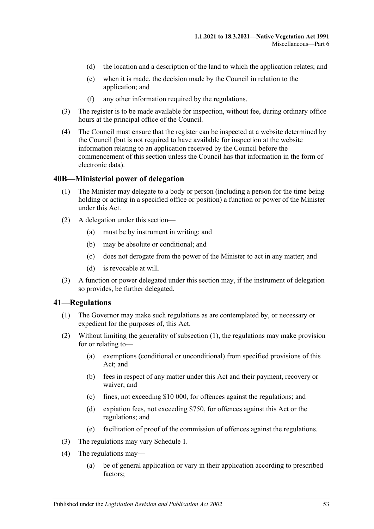- (d) the location and a description of the land to which the application relates; and
- (e) when it is made, the decision made by the Council in relation to the application; and
- (f) any other information required by the regulations.
- (3) The register is to be made available for inspection, without fee, during ordinary office hours at the principal office of the Council.
- (4) The Council must ensure that the register can be inspected at a website determined by the Council (but is not required to have available for inspection at the website information relating to an application received by the Council before the commencement of this section unless the Council has that information in the form of electronic data).

#### <span id="page-52-0"></span>**40B—Ministerial power of delegation**

- (1) The Minister may delegate to a body or person (including a person for the time being holding or acting in a specified office or position) a function or power of the Minister under this Act.
- (2) A delegation under this section—
	- (a) must be by instrument in writing; and
	- (b) may be absolute or conditional; and
	- (c) does not derogate from the power of the Minister to act in any matter; and
	- (d) is revocable at will.
- (3) A function or power delegated under this section may, if the instrument of delegation so provides, be further delegated.

#### <span id="page-52-2"></span><span id="page-52-1"></span>**41—Regulations**

- (1) The Governor may make such regulations as are contemplated by, or necessary or expedient for the purposes of, this Act.
- (2) Without limiting the generality of [subsection](#page-52-2) (1), the regulations may make provision for or relating to—
	- (a) exemptions (conditional or unconditional) from specified provisions of this Act; and
	- (b) fees in respect of any matter under this Act and their payment, recovery or waiver; and
	- (c) fines, not exceeding \$10 000, for offences against the regulations; and
	- (d) expiation fees, not exceeding \$750, for offences against this Act or the regulations; and
	- (e) facilitation of proof of the commission of offences against the regulations.
- (3) The regulations may vary [Schedule 1.](#page-53-0)
- (4) The regulations may—
	- (a) be of general application or vary in their application according to prescribed factors;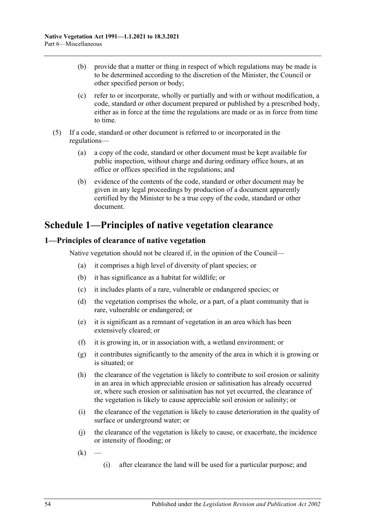- (b) provide that a matter or thing in respect of which regulations may be made is to be determined according to the discretion of the Minister, the Council or other specified person or body;
- (c) refer to or incorporate, wholly or partially and with or without modification, a code, standard or other document prepared or published by a prescribed body, either as in force at the time the regulations are made or as in force from time to time.
- (5) If a code, standard or other document is referred to or incorporated in the regulations—
	- (a) a copy of the code, standard or other document must be kept available for public inspection, without charge and during ordinary office hours, at an office or offices specified in the regulations; and
	- (b) evidence of the contents of the code, standard or other document may be given in any legal proceedings by production of a document apparently certified by the Minister to be a true copy of the code, standard or other document.

## <span id="page-53-0"></span>**Schedule 1—Principles of native vegetation clearance**

### <span id="page-53-1"></span>**1—Principles of clearance of native vegetation**

Native vegetation should not be cleared if, in the opinion of the Council—

- (a) it comprises a high level of diversity of plant species; or
- (b) it has significance as a habitat for wildlife; or
- (c) it includes plants of a rare, vulnerable or endangered species; or
- (d) the vegetation comprises the whole, or a part, of a plant community that is rare, vulnerable or endangered; or
- (e) it is significant as a remnant of vegetation in an area which has been extensively cleared; or
- (f) it is growing in, or in association with, a wetland environment; or
- (g) it contributes significantly to the amenity of the area in which it is growing or is situated; or
- (h) the clearance of the vegetation is likely to contribute to soil erosion or salinity in an area in which appreciable erosion or salinisation has already occurred or, where such erosion or salinisation has not yet occurred, the clearance of the vegetation is likely to cause appreciable soil erosion or salinity; or
- (i) the clearance of the vegetation is likely to cause deterioration in the quality of surface or underground water; or
- (j) the clearance of the vegetation is likely to cause, or exacerbate, the incidence or intensity of flooding; or
- $(k)$
- (i) after clearance the land will be used for a particular purpose; and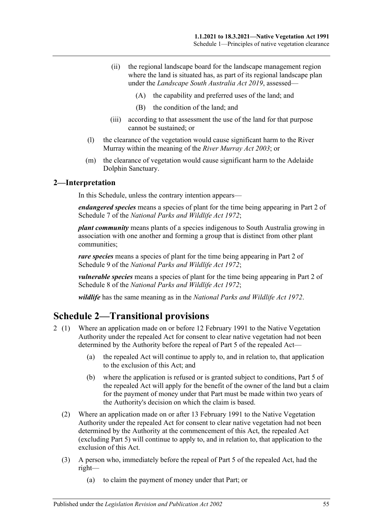- (ii) the regional landscape board for the landscape management region where the land is situated has, as part of its regional landscape plan under the *[Landscape South Australia Act](http://www.legislation.sa.gov.au/index.aspx?action=legref&type=act&legtitle=Landscape%20South%20Australia%20Act%202019) 2019*, assessed—
	- (A) the capability and preferred uses of the land; and
	- (B) the condition of the land; and
- (iii) according to that assessment the use of the land for that purpose cannot be sustained; or
- (l) the clearance of the vegetation would cause significant harm to the River Murray within the meaning of the *[River Murray Act](http://www.legislation.sa.gov.au/index.aspx?action=legref&type=act&legtitle=River%20Murray%20Act%202003) 2003*; or
- (m) the clearance of vegetation would cause significant harm to the Adelaide Dolphin Sanctuary.

#### <span id="page-54-0"></span>**2—Interpretation**

In this Schedule, unless the contrary intention appears—

*endangered species* means a species of plant for the time being appearing in Part 2 of Schedule 7 of the *[National Parks and Wildlife Act](http://www.legislation.sa.gov.au/index.aspx?action=legref&type=act&legtitle=National%20Parks%20and%20Wildlife%20Act%201972) 1972*;

*plant community* means plants of a species indigenous to South Australia growing in association with one another and forming a group that is distinct from other plant communities;

*rare species* means a species of plant for the time being appearing in Part 2 of Schedule 9 of the *[National Parks and Wildlife Act](http://www.legislation.sa.gov.au/index.aspx?action=legref&type=act&legtitle=National%20Parks%20and%20Wildlife%20Act%201972) 1972*;

*vulnerable species* means a species of plant for the time being appearing in Part 2 of Schedule 8 of the *[National Parks and Wildlife Act](http://www.legislation.sa.gov.au/index.aspx?action=legref&type=act&legtitle=National%20Parks%20and%20Wildlife%20Act%201972) 1972*;

*wildlife* has the same meaning as in the *[National Parks and Wildlife Act](http://www.legislation.sa.gov.au/index.aspx?action=legref&type=act&legtitle=National%20Parks%20and%20Wildlife%20Act%201972) 1972*.

## <span id="page-54-1"></span>**Schedule 2—Transitional provisions**

- 2 (1) Where an application made on or before 12 February 1991 to the Native Vegetation Authority under the repealed Act for consent to clear native vegetation had not been determined by the Authority before the repeal of Part 5 of the repealed Act—
	- (a) the repealed Act will continue to apply to, and in relation to, that application to the exclusion of this Act; and
	- (b) where the application is refused or is granted subject to conditions, Part 5 of the repealed Act will apply for the benefit of the owner of the land but a claim for the payment of money under that Part must be made within two years of the Authority's decision on which the claim is based.
	- (2) Where an application made on or after 13 February 1991 to the Native Vegetation Authority under the repealed Act for consent to clear native vegetation had not been determined by the Authority at the commencement of this Act, the repealed Act (excluding Part 5) will continue to apply to, and in relation to, that application to the exclusion of this Act.
	- (3) A person who, immediately before the repeal of Part 5 of the repealed Act, had the right—
		- (a) to claim the payment of money under that Part; or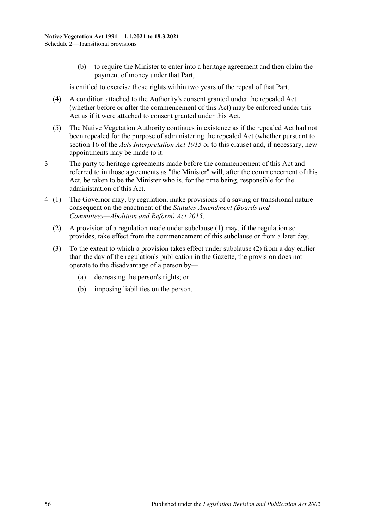(b) to require the Minister to enter into a heritage agreement and then claim the payment of money under that Part,

is entitled to exercise those rights within two years of the repeal of that Part.

- (4) A condition attached to the Authority's consent granted under the repealed Act (whether before or after the commencement of this Act) may be enforced under this Act as if it were attached to consent granted under this Act.
- (5) The Native Vegetation Authority continues in existence as if the repealed Act had not been repealed for the purpose of administering the repealed Act (whether pursuant to section 16 of the *[Acts Interpretation Act](http://www.legislation.sa.gov.au/index.aspx?action=legref&type=act&legtitle=Acts%20Interpretation%20Act%201915) 1915* or to this clause) and, if necessary, new appointments may be made to it.
- 3 The party to heritage agreements made before the commencement of this Act and referred to in those agreements as "the Minister" will, after the commencement of this Act, be taken to be the Minister who is, for the time being, responsible for the administration of this Act.
- <span id="page-55-0"></span>4 (1) The Governor may, by regulation, make provisions of a saving or transitional nature consequent on the enactment of the *[Statutes Amendment \(Boards and](http://www.legislation.sa.gov.au/index.aspx?action=legref&type=act&legtitle=Statutes%20Amendment%20(Boards%20and%20Committees%E2%80%94Abolition%20and%20Reform)%20Act%202015)  [Committees—Abolition and Reform\) Act](http://www.legislation.sa.gov.au/index.aspx?action=legref&type=act&legtitle=Statutes%20Amendment%20(Boards%20and%20Committees%E2%80%94Abolition%20and%20Reform)%20Act%202015) 2015*.
	- (2) A provision of a regulation made under subclause (1) may, if the regulation so provides, take effect from the commencement of this subclause or from a later day.
	- (3) To the extent to which a provision takes effect under [subclause](#page-55-0) (2) from a day earlier than the day of the regulation's publication in the Gazette, the provision does not operate to the disadvantage of a person by—
		- (a) decreasing the person's rights; or
		- (b) imposing liabilities on the person.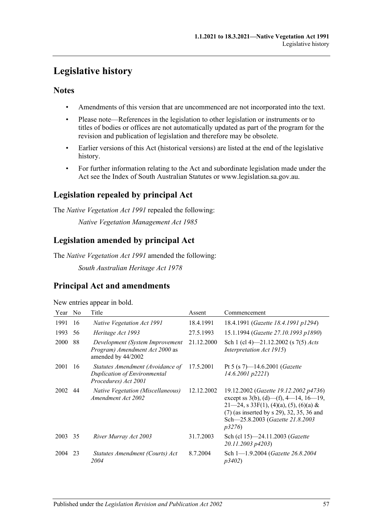## <span id="page-56-0"></span>**Legislative history**

## **Notes**

- Amendments of this version that are uncommenced are not incorporated into the text.
- Please note—References in the legislation to other legislation or instruments or to titles of bodies or offices are not automatically updated as part of the program for the revision and publication of legislation and therefore may be obsolete.
- Earlier versions of this Act (historical versions) are listed at the end of the legislative history.
- For further information relating to the Act and subordinate legislation made under the Act see the Index of South Australian Statutes or www.legislation.sa.gov.au.

## **Legislation repealed by principal Act**

The *Native Vegetation Act 1991* repealed the following:

*Native Vegetation Management Act 1985*

## **Legislation amended by principal Act**

The *Native Vegetation Act 1991* amended the following:

*South Australian Heritage Act 1978*

## **Principal Act and amendments**

New entries appear in bold.

| Year        | No | Title                                                                                    | Assent     | Commencement                                                                                                                                                                                                          |
|-------------|----|------------------------------------------------------------------------------------------|------------|-----------------------------------------------------------------------------------------------------------------------------------------------------------------------------------------------------------------------|
| 1991        | 16 | Native Vegetation Act 1991                                                               | 18.4.1991  | 18.4.1991 (Gazette 18.4.1991 p1294)                                                                                                                                                                                   |
| 1993        | 56 | Heritage Act 1993                                                                        | 27.5.1993  | 15.1.1994 (Gazette 27.10.1993 p1890)                                                                                                                                                                                  |
| <b>2000</b> | 88 | Development (System Improvement<br>Program) Amendment Act 2000 as<br>amended by 44/2002  | 21.12.2000 | Sch 1 (cl 4) $-21.12.2002$ (s 7(5) <i>Acts</i><br>Interpretation Act 1915)                                                                                                                                            |
| 2001        | 16 | Statutes Amendment (Avoidance of<br>Duplication of Environmental<br>Procedures) Act 2001 | 17.5.2001  | Pt 5 (s 7)—14.6.2001 ( <i>Gazette</i><br>$14.6.2001$ $p2221$                                                                                                                                                          |
| 2002        | 44 | Native Vegetation (Miscellaneous)<br>Amendment Act 2002                                  | 12.12.2002 | 19.12.2002 (Gazette 19.12.2002 p4736)<br>except ss 3(b), (d)—(f), 4—14, 16—19,<br>$21-24$ , s 33F(1), (4)(a), (5), (6)(a) &<br>(7) (as inserted by s 29), 32, 35, 36 and<br>Sch-25.8.2003 (Gazette 21.8.2003<br>p3276 |
| 2003        | 35 | River Murray Act 2003                                                                    | 31.7.2003  | Sch (cl 15)-24.11.2003 (Gazette<br>20.11.2003 p4203)                                                                                                                                                                  |
| 2004        | 23 | Statutes Amendment (Courts) Act<br>2004                                                  | 8.7.2004   | Sch 1-1.9.2004 (Gazette 26.8.2004)<br>p3402                                                                                                                                                                           |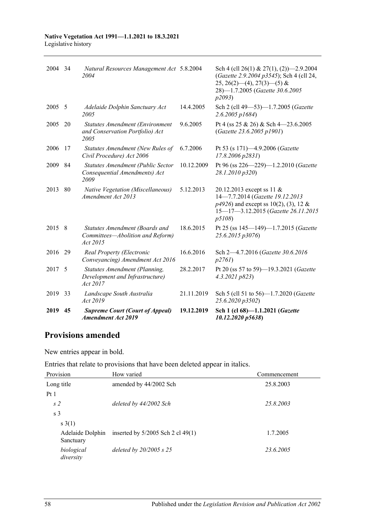#### **Native Vegetation Act 1991—1.1.2021 to 18.3.2021** Legislative history

| 2004 34 |    | Natural Resources Management Act 5.8.2004<br>2004                              |            | Sch 4 (cll 26(1) & 27(1), (2) $-2.9.2004$<br>(Gazette 2.9.2004 p3545); Sch 4 (cll 24,<br>$25, 26(2)$ (4), $27(3)$ (5) &<br>28)-1.7.2005 (Gazette 30.6.2005<br><i>p</i> 2093) |
|---------|----|--------------------------------------------------------------------------------|------------|------------------------------------------------------------------------------------------------------------------------------------------------------------------------------|
| 2005    | -5 | Adelaide Dolphin Sanctuary Act<br>2005                                         | 14.4.2005  | Sch 2 (cll 49-53)-1.7.2005 (Gazette<br>$2.6.2005$ $p1684$                                                                                                                    |
| 2005    | 20 | Statutes Amendment (Environment<br>and Conservation Portfolio) Act<br>2005     | 9.6.2005   | Pt 4 (ss 25 & 26) & Sch 4 - 23.6.2005<br>(Gazette 23.6.2005 p1901)                                                                                                           |
| 2006    | 17 | Statutes Amendment (New Rules of<br>Civil Procedure) Act 2006                  | 6.7.2006   | Pt 53 (s 171)-4.9.2006 (Gazette<br>$17.8.2006$ $p2831$ )                                                                                                                     |
| 2009    | 84 | Statutes Amendment (Public Sector<br>Consequential Amendments) Act<br>2009     | 10.12.2009 | Pt 96 (ss 226-229)-1.2.2010 (Gazette<br>28.1.2010 p320)                                                                                                                      |
| 2013    | 80 | Native Vegetation (Miscellaneous)<br>Amendment Act 2013                        | 5.12.2013  | 20.12.2013 except ss 11 &<br>14-7.7.2014 (Gazette 19.12.2013<br>$p4926$ ) and except ss 10(2), (3), 12 &<br>15-17-3.12.2015 (Gazette 26.11.2015<br>p5108)                    |
| 2015 8  |    | Statutes Amendment (Boards and<br>Committees-Abolition and Reform)<br>Act 2015 | 18.6.2015  | Pt 25 (ss 145-149)-1.7.2015 (Gazette<br>25.6.2015 p3076)                                                                                                                     |
| 2016    | 29 | Real Property (Electronic<br>Conveyancing) Amendment Act 2016                  | 16.6.2016  | Sch 2-4.7.2016 (Gazette 30.6.2016)<br>p276I)                                                                                                                                 |
| 2017 5  |    | Statutes Amendment (Planning,<br>Development and Infrastructure)<br>Act 2017   | 28.2.2017  | Pt 20 (ss 57 to 59)-19.3.2021 (Gazette<br>4.3.2021 p823                                                                                                                      |
| 2019 33 |    | Landscape South Australia<br>Act 2019                                          | 21.11.2019 | Sch 5 (cll 51 to 56)-1.7.2020 (Gazette<br>25.6.2020 p3502)                                                                                                                   |
| 2019    | 45 | <b>Supreme Court (Court of Appeal)</b><br><b>Amendment Act 2019</b>            | 19.12.2019 | Sch 1 (cl 68)-1.1.2021 (Gazette<br>10.12.2020 p5638)                                                                                                                         |

## **Provisions amended**

New entries appear in bold.

| Entries that relate to provisions that have been deleted appear in italics. |  |  |  |  |
|-----------------------------------------------------------------------------|--|--|--|--|
|-----------------------------------------------------------------------------|--|--|--|--|

| Provision                     | How varied                          | Commencement |
|-------------------------------|-------------------------------------|--------------|
| Long title                    | amended by 44/2002 Sch              | 25.8.2003    |
| Pt1                           |                                     |              |
| s <sub>2</sub>                | deleted by 44/2002 Sch              | 25.8.2003    |
| s <sub>3</sub>                |                                     |              |
| s(1)                          |                                     |              |
| Adelaide Dolphin<br>Sanctuary | inserted by $5/2005$ Sch 2 cl 49(1) | 1.7.2005     |
| biological<br>diversity       | deleted by $20/2005$ s $25$         | 23.6.2005    |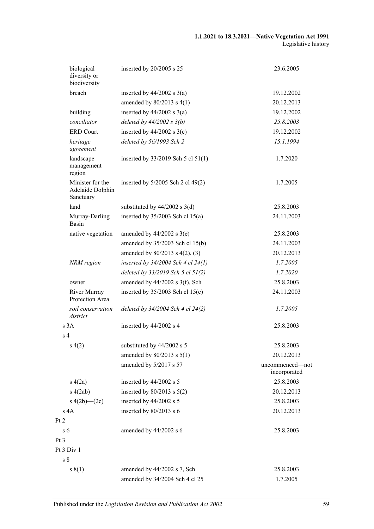| biological<br>diversity or<br>biodiversity        | inserted by 20/2005 s 25               | 23.6.2005                       |
|---------------------------------------------------|----------------------------------------|---------------------------------|
| breach                                            | inserted by $44/2002$ s $3(a)$         | 19.12.2002                      |
|                                                   | amended by $80/2013$ s $4(1)$          | 20.12.2013                      |
| building                                          | inserted by $44/2002$ s $3(a)$         | 19.12.2002                      |
| conciliator                                       | deleted by $44/2002 s 3(b)$            | 25.8.2003                       |
| <b>ERD</b> Court                                  | inserted by $44/2002$ s $3(c)$         | 19.12.2002                      |
| heritage<br>agreement                             | deleted by 56/1993 Sch 2               | 15.1.1994                       |
| landscape<br>management<br>region                 | inserted by $33/2019$ Sch 5 cl $51(1)$ | 1.7.2020                        |
| Minister for the<br>Adelaide Dolphin<br>Sanctuary | inserted by $5/2005$ Sch 2 cl 49(2)    | 1.7.2005                        |
| land                                              | substituted by $44/2002$ s $3(d)$      | 25.8.2003                       |
| Murray-Darling<br>Basin                           | inserted by $35/2003$ Sch cl $15(a)$   | 24.11.2003                      |
| native vegetation                                 | amended by $44/2002$ s $3(e)$          | 25.8.2003                       |
|                                                   | amended by 35/2003 Sch cl 15(b)        | 24.11.2003                      |
|                                                   | amended by $80/2013$ s $4(2)$ , (3)    | 20.12.2013                      |
| NRM region                                        | inserted by $34/2004$ Sch 4 cl 24(1)   | 1.7.2005                        |
|                                                   | deleted by $33/2019$ Sch 5 cl $51(2)$  | 1.7.2020                        |
| owner                                             | amended by $44/2002$ s 3(f), Sch       | 25.8.2003                       |
| River Murray<br>Protection Area                   | inserted by $35/2003$ Sch cl 15(c)     | 24.11.2003                      |
| soil conservation<br>district                     | deleted by $34/2004$ Sch 4 cl 24(2)    | 1.7.2005                        |
| s 3A                                              | inserted by 44/2002 s 4                | 25.8.2003                       |
| s <sub>4</sub>                                    |                                        |                                 |
| s(4(2)                                            | substituted by 44/2002 s 5             | 25.8.2003                       |
|                                                   | amended by $80/2013$ s $5(1)$          | 20.12.2013                      |
|                                                   | amended by 5/2017 s 57                 | uncommenced—not<br>incorporated |
| s(4(2a))                                          | inserted by 44/2002 s 5                | 25.8.2003                       |
| s(2ab)                                            | inserted by $80/2013$ s $5(2)$         | 20.12.2013                      |
| s $4(2b)$ (2c)                                    | inserted by 44/2002 s 5                | 25.8.2003                       |
| $s$ 4A                                            | inserted by 80/2013 s 6                | 20.12.2013                      |
| Pt 2                                              |                                        |                                 |
| s <sub>6</sub>                                    | amended by 44/2002 s 6                 | 25.8.2003                       |
| Pt <sub>3</sub>                                   |                                        |                                 |
| Pt 3 Div 1                                        |                                        |                                 |
| s <sub>8</sub>                                    |                                        |                                 |
| s(1)                                              | amended by 44/2002 s 7, Sch            | 25.8.2003                       |
|                                                   | amended by 34/2004 Sch 4 cl 25         | 1.7.2005                        |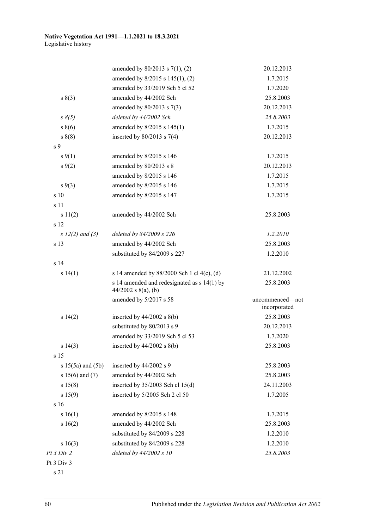|                       | amended by $80/2013$ s $7(1)$ , (2)                                    | 20.12.2013                      |
|-----------------------|------------------------------------------------------------------------|---------------------------------|
|                       | amended by 8/2015 s 145(1), (2)                                        | 1.7.2015                        |
|                       | amended by 33/2019 Sch 5 cl 52                                         | 1.7.2020                        |
| s(3)                  | amended by 44/2002 Sch                                                 | 25.8.2003                       |
|                       | amended by $80/2013$ s $7(3)$                                          | 20.12.2013                      |
| $s \, \delta(5)$      | deleted by 44/2002 Sch                                                 | 25.8.2003                       |
| $s\ 8(6)$             | amended by 8/2015 s 145(1)                                             | 1.7.2015                        |
| $s\ 8(8)$             | inserted by $80/2013$ s 7(4)                                           | 20.12.2013                      |
| s <sub>9</sub>        |                                                                        |                                 |
| $s \, 9(1)$           | amended by 8/2015 s 146                                                | 1.7.2015                        |
| $s \, 9(2)$           | amended by 80/2013 s 8                                                 | 20.12.2013                      |
|                       | amended by 8/2015 s 146                                                | 1.7.2015                        |
| $s \, 9(3)$           | amended by 8/2015 s 146                                                | 1.7.2015                        |
| s 10                  | amended by 8/2015 s 147                                                | 1.7.2015                        |
| s 11                  |                                                                        |                                 |
| s 11(2)               | amended by 44/2002 Sch                                                 | 25.8.2003                       |
| s 12                  |                                                                        |                                 |
| $s 12(2)$ and (3)     | deleted by 84/2009 s 226                                               | 1.2.2010                        |
| s 13                  | amended by 44/2002 Sch                                                 | 25.8.2003                       |
|                       | substituted by 84/2009 s 227                                           | 1.2.2010                        |
| s <sub>14</sub>       |                                                                        |                                 |
| s 14(1)               | s 14 amended by 88/2000 Sch 1 cl 4(c), (d)                             | 21.12.2002                      |
|                       | s 14 amended and redesignated as $s$ 14(1) by<br>$44/2002$ s 8(a), (b) | 25.8.2003                       |
|                       | amended by 5/2017 s 58                                                 | uncommenced—not<br>incorporated |
| s 14(2)               | inserted by $44/2002$ s $8(b)$                                         | 25.8.2003                       |
|                       | substituted by 80/2013 s 9                                             | 20.12.2013                      |
|                       | amended by 33/2019 Sch 5 cl 53                                         | 1.7.2020                        |
| s 14(3)               | inserted by $44/2002$ s $8(b)$                                         | 25.8.2003                       |
| s 15                  |                                                                        |                                 |
| s $15(5a)$ and $(5b)$ | inserted by 44/2002 s 9                                                | 25.8.2003                       |
| s $15(6)$ and $(7)$   | amended by 44/2002 Sch                                                 | 25.8.2003                       |
| s 15(8)               | inserted by $35/2003$ Sch cl $15(d)$                                   | 24.11.2003                      |
| s 15(9)               | inserted by 5/2005 Sch 2 cl 50                                         | 1.7.2005                        |
| s 16                  |                                                                        |                                 |
| s 16(1)               | amended by 8/2015 s 148                                                | 1.7.2015                        |
| s 16(2)               | amended by 44/2002 Sch                                                 | 25.8.2003                       |
|                       | substituted by 84/2009 s 228                                           | 1.2.2010                        |
| s 16(3)               | substituted by 84/2009 s 228                                           | 1.2.2010                        |
| Pt 3 Div 2            | deleted by $44/2002 s 10$                                              | 25.8.2003                       |
|                       |                                                                        |                                 |

s 21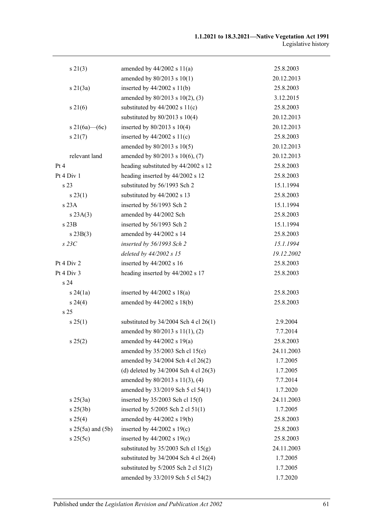| s 21(3)               | amended by $44/2002$ s $11(a)$            | 25.8.2003  |
|-----------------------|-------------------------------------------|------------|
|                       | amended by 80/2013 s 10(1)                | 20.12.2013 |
| $s \, 21(3a)$         | inserted by $44/2002$ s $11(b)$           | 25.8.2003  |
|                       | amended by 80/2013 s 10(2), (3)           | 3.12.2015  |
| $s \, 21(6)$          | substituted by $44/2002$ s $11(c)$        | 25.8.2003  |
|                       | substituted by $80/2013$ s $10(4)$        | 20.12.2013 |
| s 21(6a)—(6c)         | inserted by $80/2013$ s $10(4)$           | 20.12.2013 |
| $s \, 21(7)$          | inserted by $44/2002$ s $11(c)$           | 25.8.2003  |
|                       | amended by 80/2013 s 10(5)                | 20.12.2013 |
| relevant land         | amended by 80/2013 s 10(6), (7)           | 20.12.2013 |
| Pt 4                  | heading substituted by 44/2002 s 12       | 25.8.2003  |
| Pt 4 Div 1            | heading inserted by 44/2002 s 12          | 25.8.2003  |
| s 23                  | substituted by 56/1993 Sch 2              | 15.1.1994  |
| s 23(1)               | substituted by 44/2002 s 13               | 25.8.2003  |
| s 23A                 | inserted by 56/1993 Sch 2                 | 15.1.1994  |
| s 23A(3)              | amended by 44/2002 Sch                    | 25.8.2003  |
| $s$ 23 $B$            | inserted by 56/1993 Sch 2                 | 15.1.1994  |
| $s\,23B(3)$           | amended by 44/2002 s 14                   | 25.8.2003  |
| $s$ 23 $C$            | inserted by 56/1993 Sch 2                 | 15.1.1994  |
|                       | deleted by 44/2002 s 15                   | 19.12.2002 |
| Pt 4 Div 2            | inserted by $44/2002$ s 16                | 25.8.2003  |
| Pt 4 Div 3            | heading inserted by 44/2002 s 17          | 25.8.2003  |
| s <sub>24</sub>       |                                           |            |
| s 24(1a)              | inserted by $44/2002$ s $18(a)$           | 25.8.2003  |
| s 24(4)               | amended by $44/2002$ s $18(b)$            | 25.8.2003  |
| s <sub>25</sub>       |                                           |            |
| s 25(1)               | substituted by $34/2004$ Sch 4 cl 26(1)   | 2.9.2004   |
|                       | amended by 80/2013 s 11(1), (2)           | 7.7.2014   |
| s 25(2)               | amended by $44/2002$ s 19(a)              | 25.8.2003  |
|                       | amended by 35/2003 Sch cl 15(e)           | 24.11.2003 |
|                       | amended by 34/2004 Sch 4 cl 26(2)         | 1.7.2005   |
|                       | (d) deleted by $34/2004$ Sch 4 cl $26(3)$ | 1.7.2005   |
|                       | amended by 80/2013 s 11(3), (4)           | 7.7.2014   |
|                       | amended by 33/2019 Sch 5 cl 54(1)         | 1.7.2020   |
| $s \, 25(3a)$         | inserted by $35/2003$ Sch cl 15(f)        | 24.11.2003 |
| $s \; 25(3b)$         | inserted by 5/2005 Sch 2 cl 51(1)         | 1.7.2005   |
| s 25(4)               | amended by 44/2002 s 19(b)                | 25.8.2003  |
| $s 25(5a)$ and $(5b)$ | inserted by $44/2002$ s 19(c)             | 25.8.2003  |
| s 25(5c)              | inserted by $44/2002$ s $19(c)$           | 25.8.2003  |
|                       | substituted by $35/2003$ Sch cl $15(g)$   | 24.11.2003 |
|                       | substituted by $34/2004$ Sch 4 cl 26(4)   | 1.7.2005   |
|                       | substituted by $5/2005$ Sch 2 cl $51(2)$  | 1.7.2005   |
|                       | amended by 33/2019 Sch 5 cl 54(2)         | 1.7.2020   |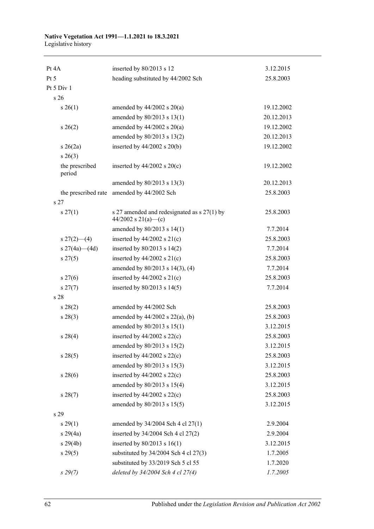#### **Native Vegetation Act 1991—1.1.2021 to 18.3.2021** Legislative history

| Pt 4A                     | inserted by 80/2013 s 12                                             | 3.12.2015  |
|---------------------------|----------------------------------------------------------------------|------------|
| Pt 5                      | heading substituted by 44/2002 Sch                                   | 25.8.2003  |
| Pt 5 Div 1                |                                                                      |            |
| s 26                      |                                                                      |            |
| $s \; 26(1)$              | amended by $44/2002$ s $20(a)$                                       | 19.12.2002 |
|                           | amended by 80/2013 s 13(1)                                           | 20.12.2013 |
| $s \; 26(2)$              | amended by $44/2002$ s $20(a)$                                       | 19.12.2002 |
|                           | amended by 80/2013 s 13(2)                                           | 20.12.2013 |
| $s \; 26(2a)$             | inserted by $44/2002$ s $20(b)$                                      | 19.12.2002 |
| $s \; 26(3)$              |                                                                      |            |
| the prescribed<br>period  | inserted by $44/2002$ s $20(c)$                                      | 19.12.2002 |
|                           | amended by 80/2013 s 13(3)                                           | 20.12.2013 |
| the prescribed rate       | amended by 44/2002 Sch                                               | 25.8.2003  |
| s <sub>27</sub>           |                                                                      |            |
| $s \, 27(1)$              | s 27 amended and redesignated as $s$ 27(1) by<br>44/2002 s 21(a)—(c) | 25.8.2003  |
|                           | amended by 80/2013 s 14(1)                                           | 7.7.2014   |
| $s \frac{27(2) - (4)}{ }$ | inserted by $44/2002$ s $21(c)$                                      | 25.8.2003  |
| s $27(4a)$ (4d)           | inserted by $80/2013$ s $14(2)$                                      | 7.7.2014   |
| $s \, 27(5)$              | inserted by $44/2002$ s $21(c)$                                      | 25.8.2003  |
|                           | amended by 80/2013 s 14(3), (4)                                      | 7.7.2014   |
| $s \, 27(6)$              | inserted by $44/2002$ s $21(c)$                                      | 25.8.2003  |
| $s\,27(7)$                | inserted by $80/2013$ s $14(5)$                                      | 7.7.2014   |
| s <sub>28</sub>           |                                                                      |            |
| $s\,28(2)$                | amended by 44/2002 Sch                                               | 25.8.2003  |
| $s\,28(3)$                | amended by $44/2002$ s $22(a)$ , (b)                                 | 25.8.2003  |
|                           | amended by 80/2013 s 15(1)                                           | 3.12.2015  |
| $s \; 28(4)$              | inserted by $44/2002$ s $22(c)$                                      | 25.8.2003  |
|                           | amended by 80/2013 s 15(2)                                           | 3.12.2015  |
| s 28(5)                   | inserted by $44/2002$ s $22(c)$                                      | 25.8.2003  |
|                           | amended by 80/2013 s 15(3)                                           | 3.12.2015  |
| s 28(6)                   | inserted by $44/2002$ s $22(c)$                                      | 25.8.2003  |
|                           | amended by 80/2013 s 15(4)                                           | 3.12.2015  |
| s 28(7)                   | inserted by $44/2002$ s $22(c)$                                      | 25.8.2003  |
|                           | amended by 80/2013 s 15(5)                                           | 3.12.2015  |
| s 29                      |                                                                      |            |
| s 29(1)                   | amended by 34/2004 Sch 4 cl 27(1)                                    | 2.9.2004   |
| s 29(4a)                  | inserted by 34/2004 Sch 4 cl 27(2)                                   | 2.9.2004   |
| s 29(4b)                  | inserted by $80/2013$ s $16(1)$                                      | 3.12.2015  |
| s 29(5)                   | substituted by $34/2004$ Sch 4 cl $27(3)$                            | 1.7.2005   |
|                           | substituted by 33/2019 Sch 5 cl 55                                   | 1.7.2020   |
| $s\,29(7)$                | deleted by 34/2004 Sch 4 cl 27(4)                                    | 1.7.2005   |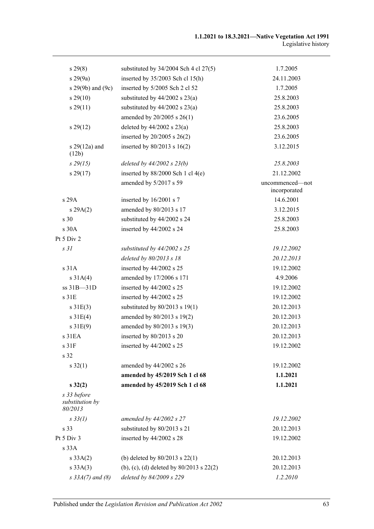| $s\,29(8)$                                | substituted by $34/2004$ Sch 4 cl $27(5)$ | 1.7.2005                        |
|-------------------------------------------|-------------------------------------------|---------------------------------|
| s 29(9a)                                  | inserted by $35/2003$ Sch cl 15(h)        | 24.11.2003                      |
| s 29(9b) and (9c)                         | inserted by 5/2005 Sch 2 cl 52            | 1.7.2005                        |
| $s\,29(10)$                               | substituted by $44/2002$ s $23(a)$        | 25.8.2003                       |
| s 29(11)                                  | substituted by $44/2002$ s $23(a)$        | 25.8.2003                       |
|                                           | amended by 20/2005 s 26(1)                | 23.6.2005                       |
| s 29(12)                                  | deleted by $44/2002$ s $23(a)$            | 25.8.2003                       |
|                                           | inserted by $20/2005$ s $26(2)$           | 23.6.2005                       |
| s 29(12a) and<br>(12b)                    | inserted by $80/2013$ s $16(2)$           | 3.12.2015                       |
| $s\,29(15)$                               | deleted by $44/2002$ s $23(b)$            | 25.8.2003                       |
| $s\,29(17)$                               | inserted by $88/2000$ Sch 1 cl 4(e)       | 21.12.2002                      |
|                                           | amended by 5/2017 s 59                    | uncommenced-not<br>incorporated |
| s 29A                                     | inserted by 16/2001 s 7                   | 14.6.2001                       |
| s 29A(2)                                  | amended by 80/2013 s 17                   | 3.12.2015                       |
| s <sub>30</sub>                           | substituted by 44/2002 s 24               | 25.8.2003                       |
| s 30A                                     | inserted by 44/2002 s 24                  | 25.8.2003                       |
| Pt $5$ Div $2$                            |                                           |                                 |
| s <sub>31</sub>                           | substituted by $44/2002$ s 25             | 19.12.2002                      |
|                                           | deleted by 80/2013 s 18                   | 20.12.2013                      |
| s31A                                      | inserted by 44/2002 s 25                  | 19.12.2002                      |
| s 31A(4)                                  | amended by 17/2006 s 171                  | 4.9.2006                        |
| ss 31B-31D                                | inserted by 44/2002 s 25                  | 19.12.2002                      |
| s 31E                                     | inserted by 44/2002 s 25                  | 19.12.2002                      |
| s31E(3)                                   | substituted by $80/2013$ s 19(1)          | 20.12.2013                      |
| s31E(4)                                   | amended by 80/2013 s 19(2)                | 20.12.2013                      |
| s31E(9)                                   | amended by 80/2013 s 19(3)                | 20.12.2013                      |
| s 31EA                                    | inserted by 80/2013 s 20                  | 20.12.2013                      |
| s 31F                                     | inserted by 44/2002 s 25                  | 19.12.2002                      |
| s 32                                      |                                           |                                 |
| $s \, 32(1)$                              | amended by 44/2002 s 26                   | 19.12.2002                      |
|                                           | amended by 45/2019 Sch 1 cl 68            | 1.1.2021                        |
| $s\,32(2)$                                | amended by 45/2019 Sch 1 cl 68            | 1.1.2021                        |
| s 33 before<br>substitution by<br>80/2013 |                                           |                                 |
| $s \frac{33}{I}$                          | amended by 44/2002 s 27                   | 19.12.2002                      |
| s 33                                      | substituted by 80/2013 s 21               | 20.12.2013                      |
| Pt 5 Div 3                                | inserted by 44/2002 s 28                  | 19.12.2002                      |
| s 33A                                     |                                           |                                 |
| s 33A(2)                                  | (b) deleted by $80/2013$ s $22(1)$        | 20.12.2013                      |
| s 33A(3)                                  | (b), (c), (d) deleted by 80/2013 s 22(2)  | 20.12.2013                      |
| $s \, 33A(7)$ and (8)                     | deleted by 84/2009 s 229                  | 1.2.2010                        |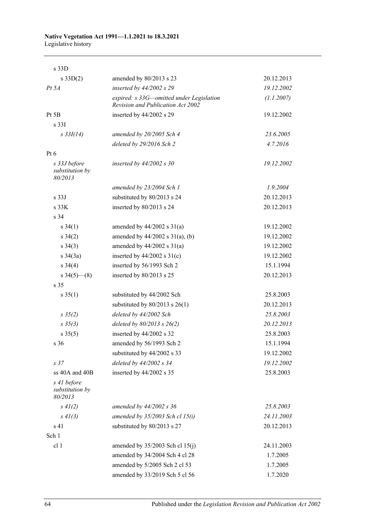## **Native Vegetation Act 1991—1.1.2021 to 18.3.2021**

Legislative history

| s 33D                                      |                                                                                      |            |
|--------------------------------------------|--------------------------------------------------------------------------------------|------------|
| $s \, 33D(2)$                              | amended by 80/2013 s 23                                                              | 20.12.2013 |
| $Pt\,5A$                                   | inserted by 44/2002 s 29                                                             | 19.12.2002 |
|                                            | expired: s 33G—omitted under Legislation<br><b>Revision and Publication Act 2002</b> | (1.1.2007) |
| Pt 5B                                      | inserted by 44/2002 s 29                                                             | 19.12.2002 |
| s <sub>331</sub>                           |                                                                                      |            |
| $s \frac{33I(14)}{2}$                      | amended by 20/2005 Sch 4                                                             | 23.6.2005  |
|                                            | deleted by 29/2016 Sch 2                                                             | 4.7.2016   |
| $Pt\ 6$                                    |                                                                                      |            |
| s 33J before<br>substitution by<br>80/2013 | inserted by $44/2002$ s 30                                                           | 19.12.2002 |
|                                            | amended by 23/2004 Sch 1                                                             | 1.9.2004   |
| s 33J                                      | substituted by 80/2013 s 24                                                          | 20.12.2013 |
| s 33K                                      | inserted by 80/2013 s 24                                                             | 20.12.2013 |
| s 34                                       |                                                                                      |            |
| $s \; 34(1)$                               | amended by $44/2002$ s $31(a)$                                                       | 19.12.2002 |
| $s \; 34(2)$                               | amended by $44/2002$ s $31(a)$ , (b)                                                 | 19.12.2002 |
| $s \; 34(3)$                               | amended by $44/2002$ s $31(a)$                                                       | 19.12.2002 |
| $s \frac{34}{3a}$                          | inserted by $44/2002$ s $31(c)$                                                      | 19.12.2002 |
| $s \; 34(4)$                               | inserted by 56/1993 Sch 2                                                            | 15.1.1994  |
| $s\,34(5)$ (8)                             | inserted by 80/2013 s 25                                                             | 20.12.2013 |
| s <sub>35</sub>                            |                                                                                      |            |
| $s \, 35(1)$                               | substituted by 44/2002 Sch                                                           | 25.8.2003  |
|                                            | substituted by $80/2013$ s $26(1)$                                                   | 20.12.2013 |
| $s \; 35(2)$                               | deleted by 44/2002 Sch                                                               | 25.8.2003  |
| $s \; 35(3)$                               | deleted by $80/2013$ s $26(2)$                                                       | 20.12.2013 |
| $s \, 35(5)$                               | inserted by 44/2002 s 32                                                             | 25.8.2003  |
| s <sub>36</sub>                            | amended by 56/1993 Sch 2                                                             | 15.1.1994  |
|                                            | substituted by 44/2002 s 33                                                          | 19.12.2002 |
| s <sub>37</sub>                            | deleted by 44/2002 s 34                                                              | 19.12.2002 |
| ss 40A and 40B                             | inserted by 44/2002 s 35                                                             | 25.8.2003  |
| s 41 before<br>substitution by<br>80/2013  |                                                                                      |            |
| $s \, 41(2)$                               | amended by $44/2002$ s 36                                                            | 25.8.2003  |
| $s\,41(3)$                                 | amended by $35/2003$ Sch cl 15(i)                                                    | 24.11.2003 |
| s 41                                       | substituted by 80/2013 s 27                                                          | 20.12.2013 |
| Sch 1                                      |                                                                                      |            |
| cl 1                                       | amended by $35/2003$ Sch cl $15(j)$                                                  | 24.11.2003 |
|                                            | amended by 34/2004 Sch 4 cl 28                                                       | 1.7.2005   |
|                                            | amended by 5/2005 Sch 2 cl 53                                                        | 1.7.2005   |
|                                            | amended by 33/2019 Sch 5 cl 56                                                       | 1.7.2020   |